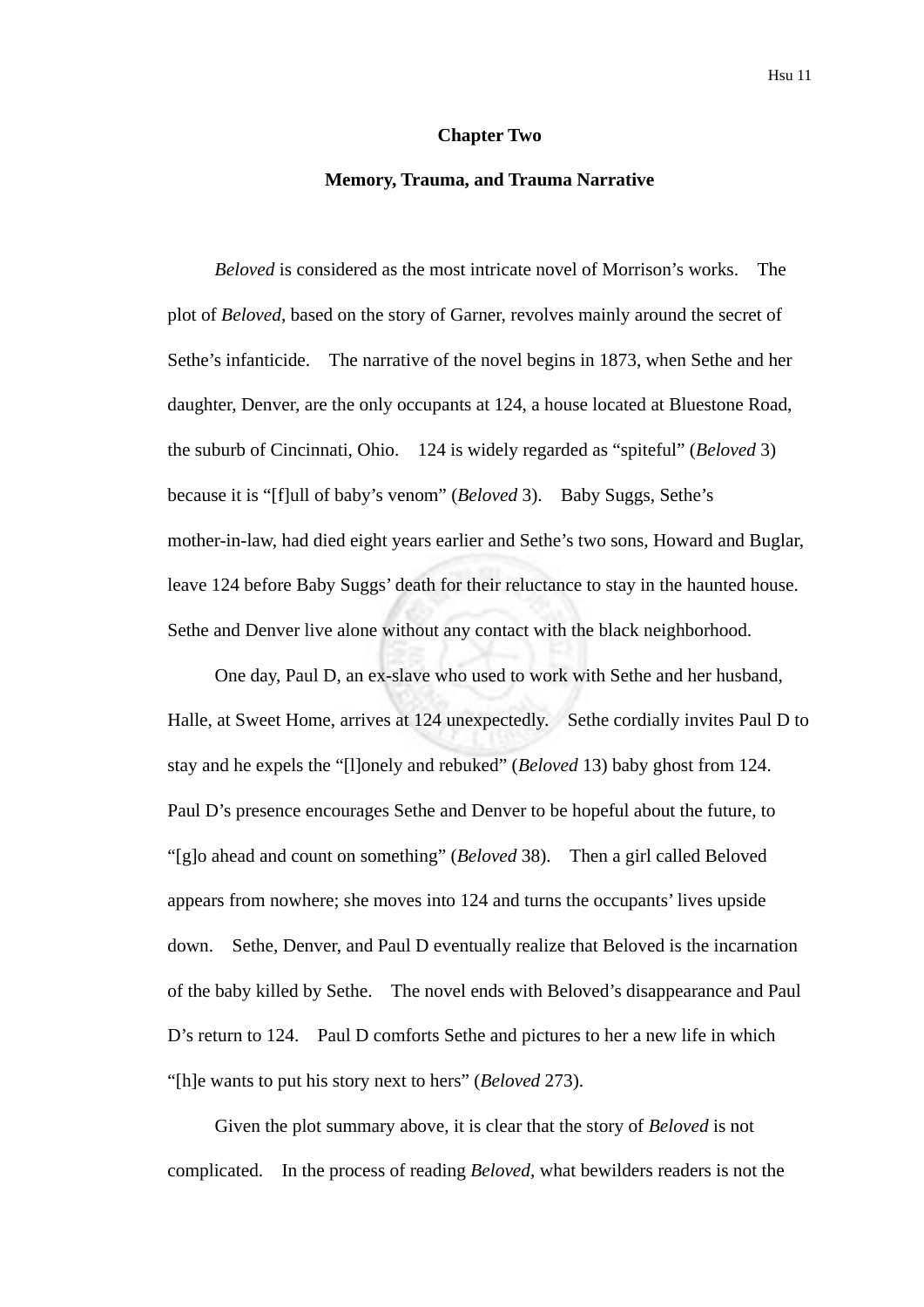#### **Chapter Two**

#### **Memory, Trauma, and Trauma Narrative**

*Beloved* is considered as the most intricate novel of Morrison's works. The plot of *Beloved*, based on the story of Garner, revolves mainly around the secret of Sethe's infanticide. The narrative of the novel begins in 1873, when Sethe and her daughter, Denver, are the only occupants at 124, a house located at Bluestone Road, the suburb of Cincinnati, Ohio. 124 is widely regarded as "spiteful" (*Beloved* 3) because it is "[f]ull of baby's venom" (*Beloved* 3). Baby Suggs, Sethe's mother-in-law, had died eight years earlier and Sethe's two sons, Howard and Buglar, leave 124 before Baby Suggs' death for their reluctance to stay in the haunted house. Sethe and Denver live alone without any contact with the black neighborhood.

One day, Paul D, an ex-slave who used to work with Sethe and her husband, Halle, at Sweet Home, arrives at 124 unexpectedly. Sethe cordially invites Paul D to stay and he expels the "[l]onely and rebuked" (*Beloved* 13) baby ghost from 124. Paul D's presence encourages Sethe and Denver to be hopeful about the future, to "[g]o ahead and count on something" (*Beloved* 38). Then a girl called Beloved appears from nowhere; she moves into 124 and turns the occupants' lives upside down. Sethe, Denver, and Paul D eventually realize that Beloved is the incarnation of the baby killed by Sethe. The novel ends with Beloved's disappearance and Paul D's return to 124. Paul D comforts Sethe and pictures to her a new life in which "[h]e wants to put his story next to hers" (*Beloved* 273).

Given the plot summary above, it is clear that the story of *Beloved* is not complicated. In the process of reading *Beloved*, what bewilders readers is not the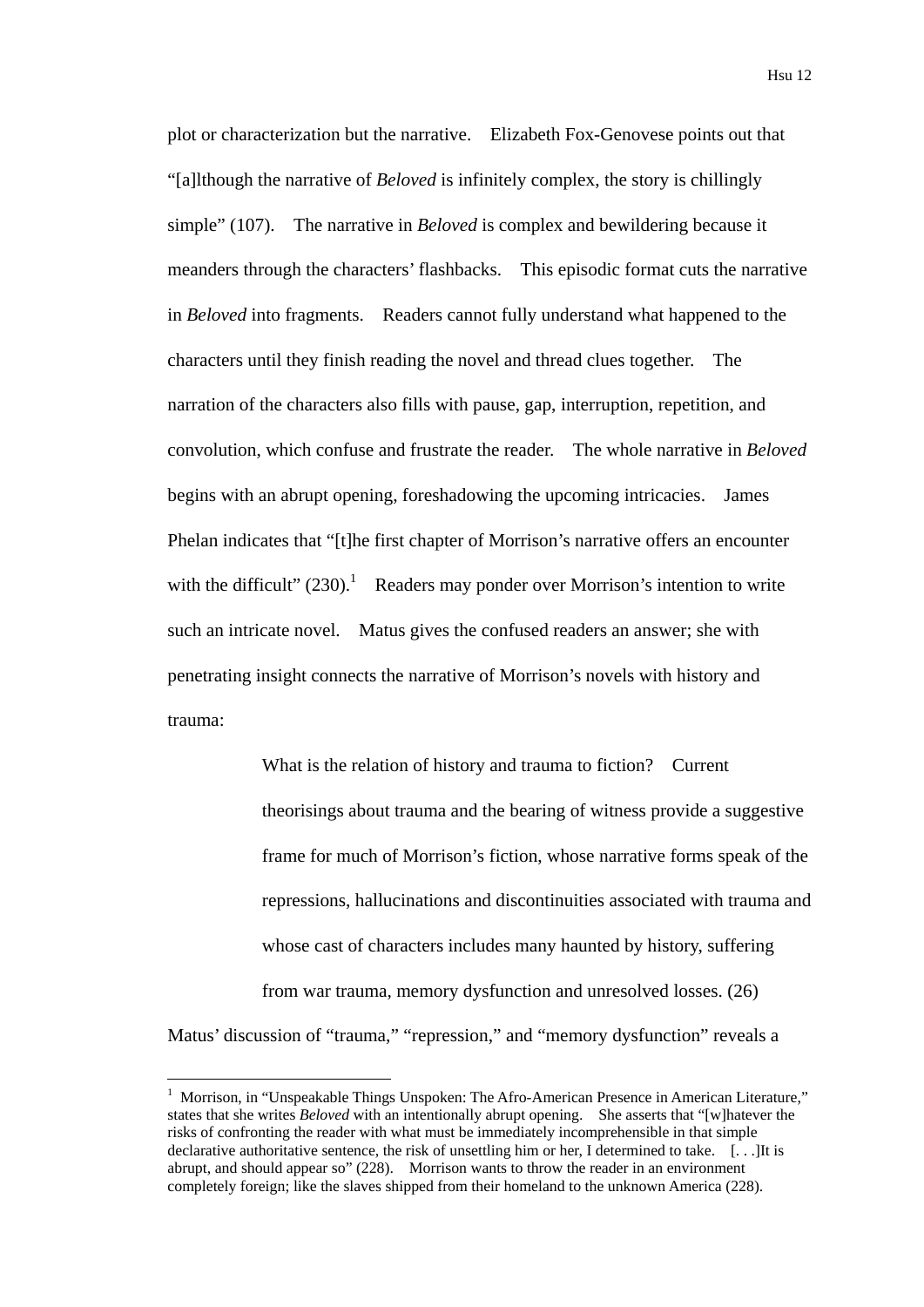plot or characterization but the narrative. Elizabeth Fox-Genovese points out that "[a]lthough the narrative of *Beloved* is infinitely complex, the story is chillingly simple" (107). The narrative in *Beloved* is complex and bewildering because it meanders through the characters' flashbacks. This episodic format cuts the narrative in *Beloved* into fragments. Readers cannot fully understand what happened to the characters until they finish reading the novel and thread clues together. The narration of the characters also fills with pause, gap, interruption, repetition, and convolution, which confuse and frustrate the reader. The whole narrative in *Beloved* begins with an abrupt opening, foreshadowing the upcoming intricacies. James Phelan indicates that "[t]he first chapter of Morrison's narrative offers an encounter with the difficult"  $(230)$ .<sup>1</sup> Readers may ponder over Morrison's intention to write such an intricate novel. Matus gives the confused readers an answer; she with penetrating insight connects the narrative of Morrison's novels with history and trauma:

What is the relation of history and trauma to fiction? Current theorisings about trauma and the bearing of witness provide a suggestive frame for much of Morrison's fiction, whose narrative forms speak of the repressions, hallucinations and discontinuities associated with trauma and whose cast of characters includes many haunted by history, suffering from war trauma, memory dysfunction and unresolved losses. (26) Matus' discussion of "trauma," "repression," and "memory dysfunction" reveals a

1

<sup>1</sup> Morrison, in "Unspeakable Things Unspoken: The Afro-American Presence in American Literature," states that she writes *Beloved* with an intentionally abrupt opening. She asserts that "[w]hatever the risks of confronting the reader with what must be immediately incomprehensible in that simple declarative authoritative sentence, the risk of unsettling him or her, I determined to take. [. . .]It is abrupt, and should appear so" (228). Morrison wants to throw the reader in an environment completely foreign; like the slaves shipped from their homeland to the unknown America (228).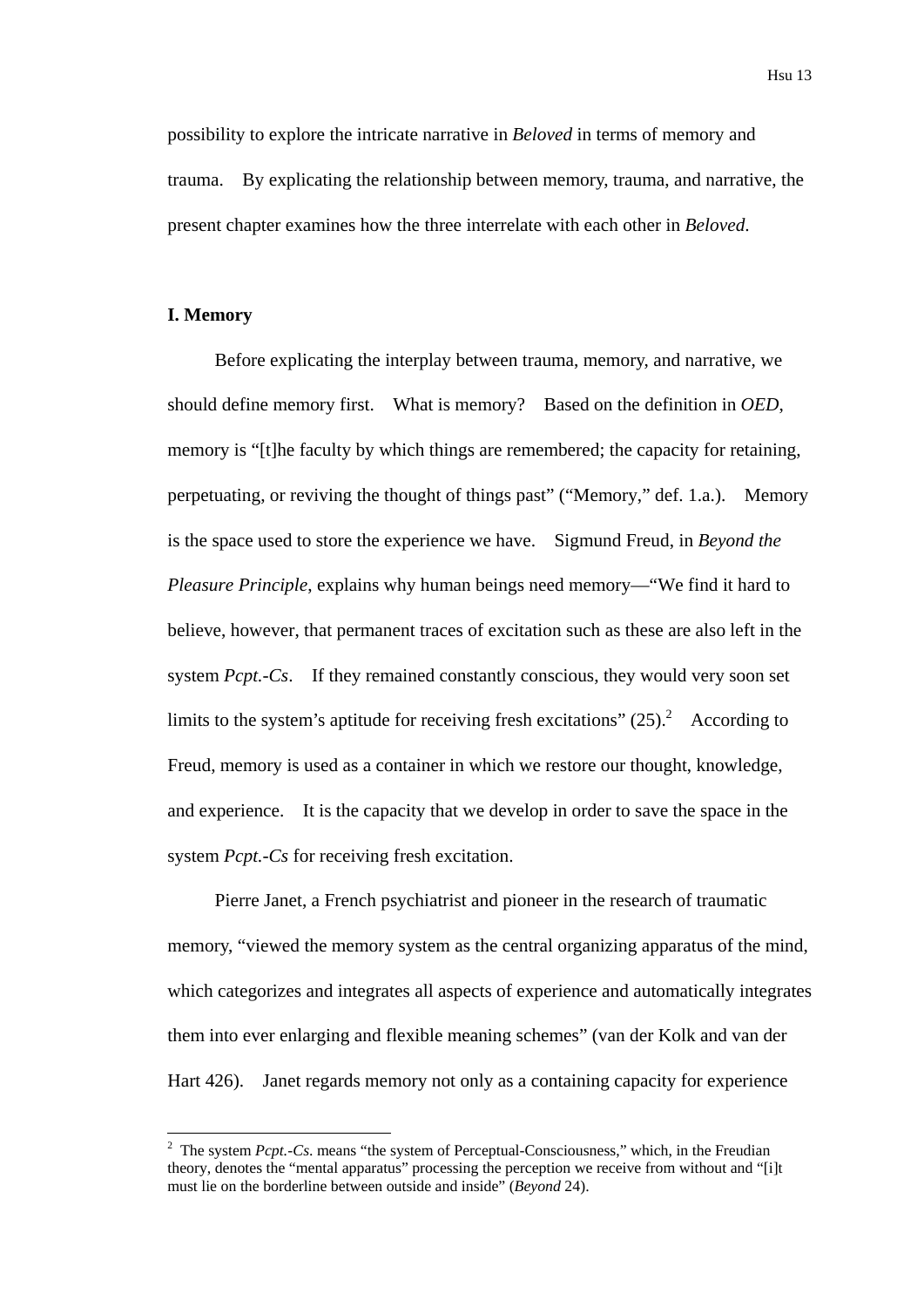possibility to explore the intricate narrative in *Beloved* in terms of memory and trauma. By explicating the relationship between memory, trauma, and narrative, the present chapter examines how the three interrelate with each other in *Beloved*.

# **I. Memory**

1

Before explicating the interplay between trauma, memory, and narrative, we should define memory first. What is memory? Based on the definition in *OED*, memory is "[t]he faculty by which things are remembered; the capacity for retaining, perpetuating, or reviving the thought of things past" ("Memory," def. 1.a.). Memory is the space used to store the experience we have. Sigmund Freud, in *Beyond the Pleasure Principle*, explains why human beings need memory—"We find it hard to believe, however, that permanent traces of excitation such as these are also left in the system *Pcpt.-Cs*. If they remained constantly conscious, they would very soon set limits to the system's aptitude for receiving fresh excitations"  $(25)$ .<sup>2</sup> According to Freud, memory is used as a container in which we restore our thought, knowledge, and experience. It is the capacity that we develop in order to save the space in the system *Pcpt.-Cs* for receiving fresh excitation.

Pierre Janet, a French psychiatrist and pioneer in the research of traumatic memory, "viewed the memory system as the central organizing apparatus of the mind, which categorizes and integrates all aspects of experience and automatically integrates them into ever enlarging and flexible meaning schemes" (van der Kolk and van der Hart 426). Janet regards memory not only as a containing capacity for experience

<sup>&</sup>lt;sup>2</sup> The system *Pcpt.-Cs.* means "the system of Perceptual-Consciousness," which, in the Freudian theory, denotes the "mental apparatus" processing the perception we receive from without and "[i]t must lie on the borderline between outside and inside" (*Beyond* 24).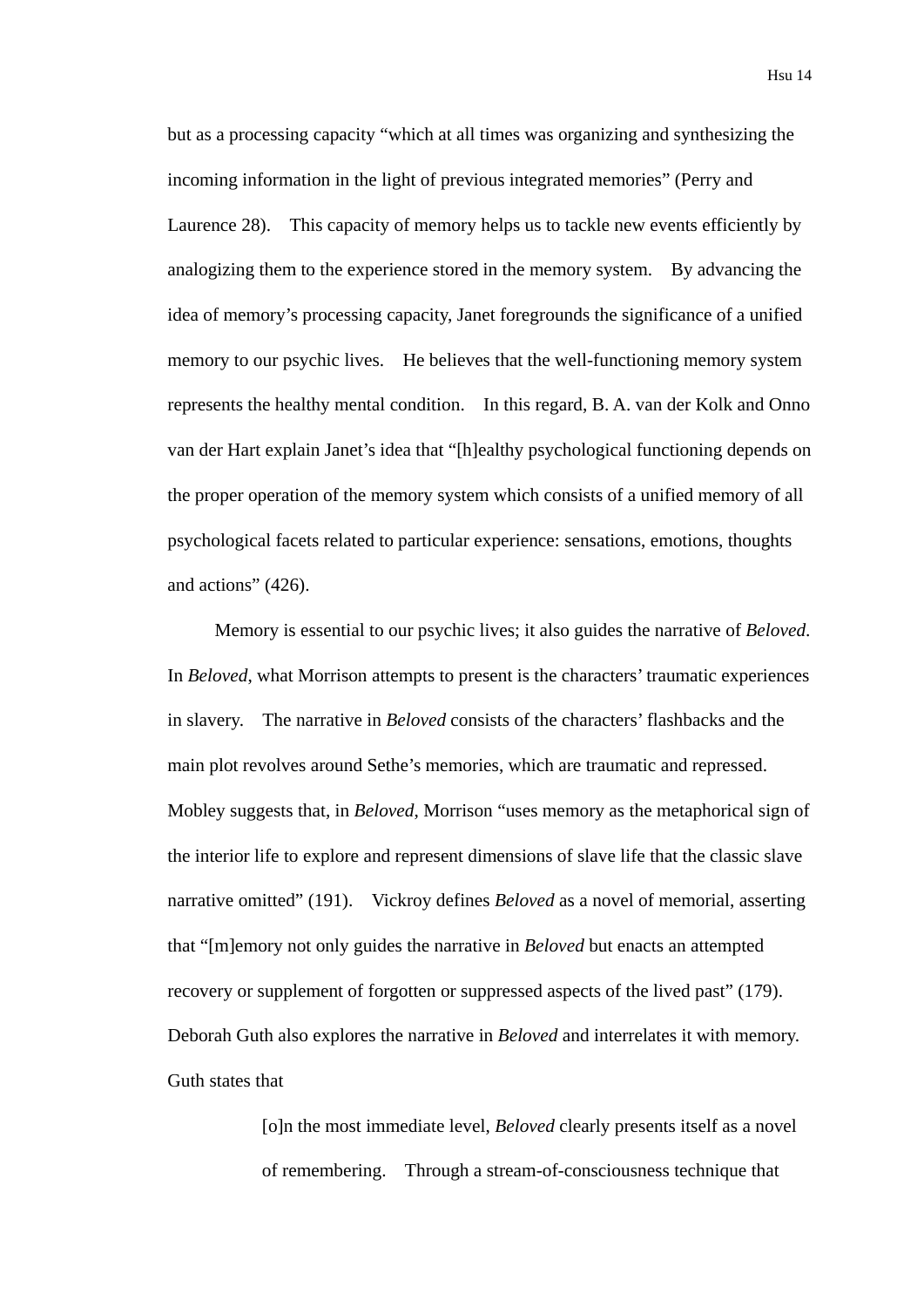but as a processing capacity "which at all times was organizing and synthesizing the incoming information in the light of previous integrated memories" (Perry and Laurence 28). This capacity of memory helps us to tackle new events efficiently by analogizing them to the experience stored in the memory system. By advancing the idea of memory's processing capacity, Janet foregrounds the significance of a unified memory to our psychic lives. He believes that the well-functioning memory system represents the healthy mental condition. In this regard, B. A. van der Kolk and Onno van der Hart explain Janet's idea that "[h]ealthy psychological functioning depends on the proper operation of the memory system which consists of a unified memory of all psychological facets related to particular experience: sensations, emotions, thoughts and actions" (426).

Memory is essential to our psychic lives; it also guides the narrative of *Beloved*. In *Beloved*, what Morrison attempts to present is the characters' traumatic experiences in slavery. The narrative in *Beloved* consists of the characters' flashbacks and the main plot revolves around Sethe's memories, which are traumatic and repressed. Mobley suggests that, in *Beloved*, Morrison "uses memory as the metaphorical sign of the interior life to explore and represent dimensions of slave life that the classic slave narrative omitted" (191). Vickroy defines *Beloved* as a novel of memorial, asserting that "[m]emory not only guides the narrative in *Beloved* but enacts an attempted recovery or supplement of forgotten or suppressed aspects of the lived past" (179). Deborah Guth also explores the narrative in *Beloved* and interrelates it with memory. Guth states that

> [o]n the most immediate level, *Beloved* clearly presents itself as a novel of remembering. Through a stream-of-consciousness technique that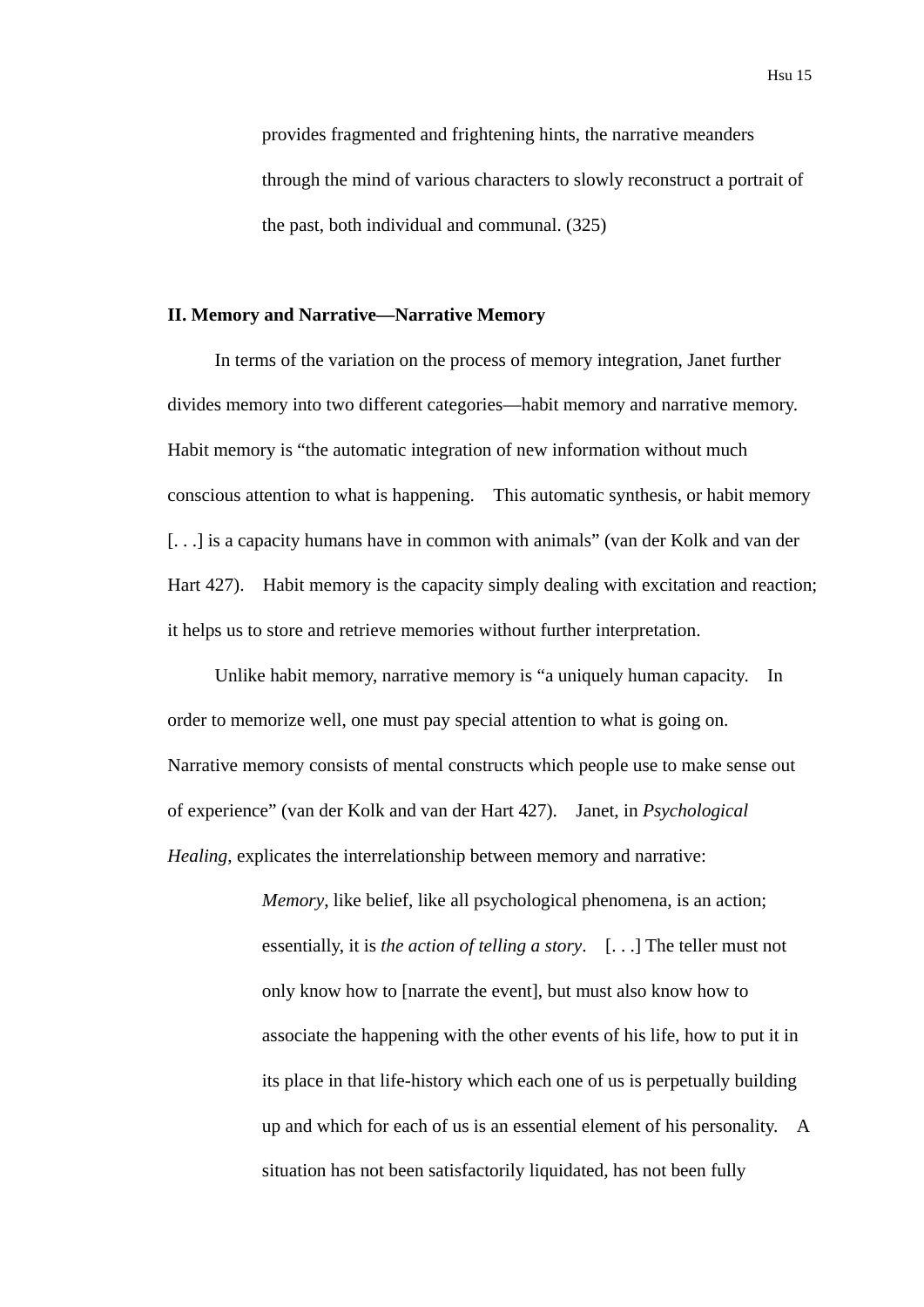provides fragmented and frightening hints, the narrative meanders through the mind of various characters to slowly reconstruct a portrait of the past, both individual and communal. (325)

# **II. Memory and Narrative—Narrative Memory**

In terms of the variation on the process of memory integration, Janet further divides memory into two different categories—habit memory and narrative memory. Habit memory is "the automatic integration of new information without much conscious attention to what is happening. This automatic synthesis, or habit memory [...] is a capacity humans have in common with animals" (van der Kolk and van der Hart 427). Habit memory is the capacity simply dealing with excitation and reaction; it helps us to store and retrieve memories without further interpretation.

Unlike habit memory, narrative memory is "a uniquely human capacity. In order to memorize well, one must pay special attention to what is going on. Narrative memory consists of mental constructs which people use to make sense out of experience" (van der Kolk and van der Hart 427). Janet, in *Psychological Healing*, explicates the interrelationship between memory and narrative:

> *Memory*, like belief, like all psychological phenomena, is an action; essentially, it is *the action of telling a story*. [. . .] The teller must not only know how to [narrate the event], but must also know how to associate the happening with the other events of his life, how to put it in its place in that life-history which each one of us is perpetually building up and which for each of us is an essential element of his personality. A situation has not been satisfactorily liquidated, has not been fully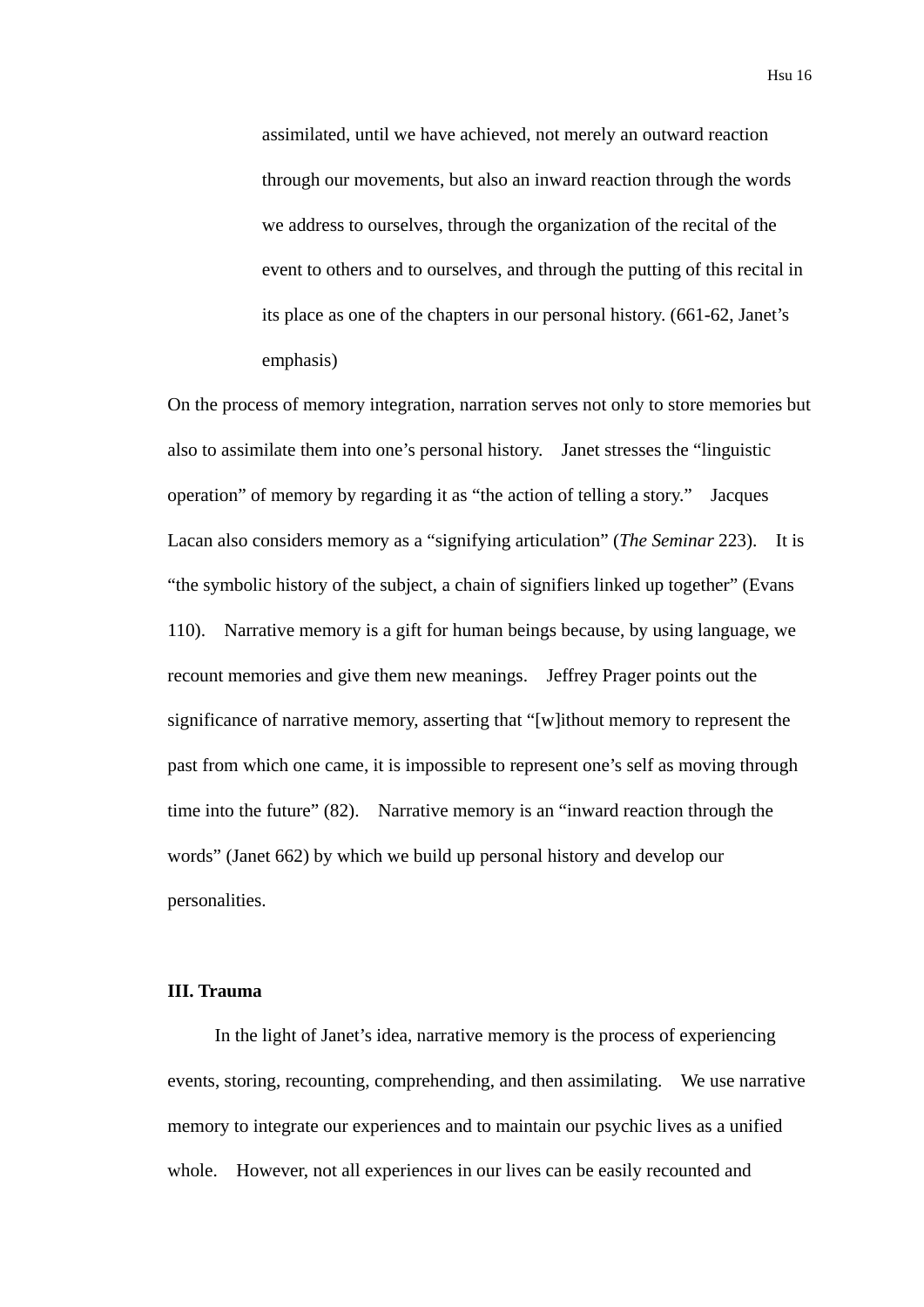assimilated, until we have achieved, not merely an outward reaction through our movements, but also an inward reaction through the words we address to ourselves, through the organization of the recital of the event to others and to ourselves, and through the putting of this recital in its place as one of the chapters in our personal history. (661-62, Janet's emphasis)

On the process of memory integration, narration serves not only to store memories but also to assimilate them into one's personal history. Janet stresses the "linguistic operation" of memory by regarding it as "the action of telling a story." Jacques Lacan also considers memory as a "signifying articulation" (*The Seminar* 223). It is "the symbolic history of the subject, a chain of signifiers linked up together" (Evans 110). Narrative memory is a gift for human beings because, by using language, we recount memories and give them new meanings. Jeffrey Prager points out the significance of narrative memory, asserting that "[w]ithout memory to represent the past from which one came, it is impossible to represent one's self as moving through time into the future" (82). Narrative memory is an "inward reaction through the words" (Janet 662) by which we build up personal history and develop our personalities.

### **III. Trauma**

In the light of Janet's idea, narrative memory is the process of experiencing events, storing, recounting, comprehending, and then assimilating. We use narrative memory to integrate our experiences and to maintain our psychic lives as a unified whole. However, not all experiences in our lives can be easily recounted and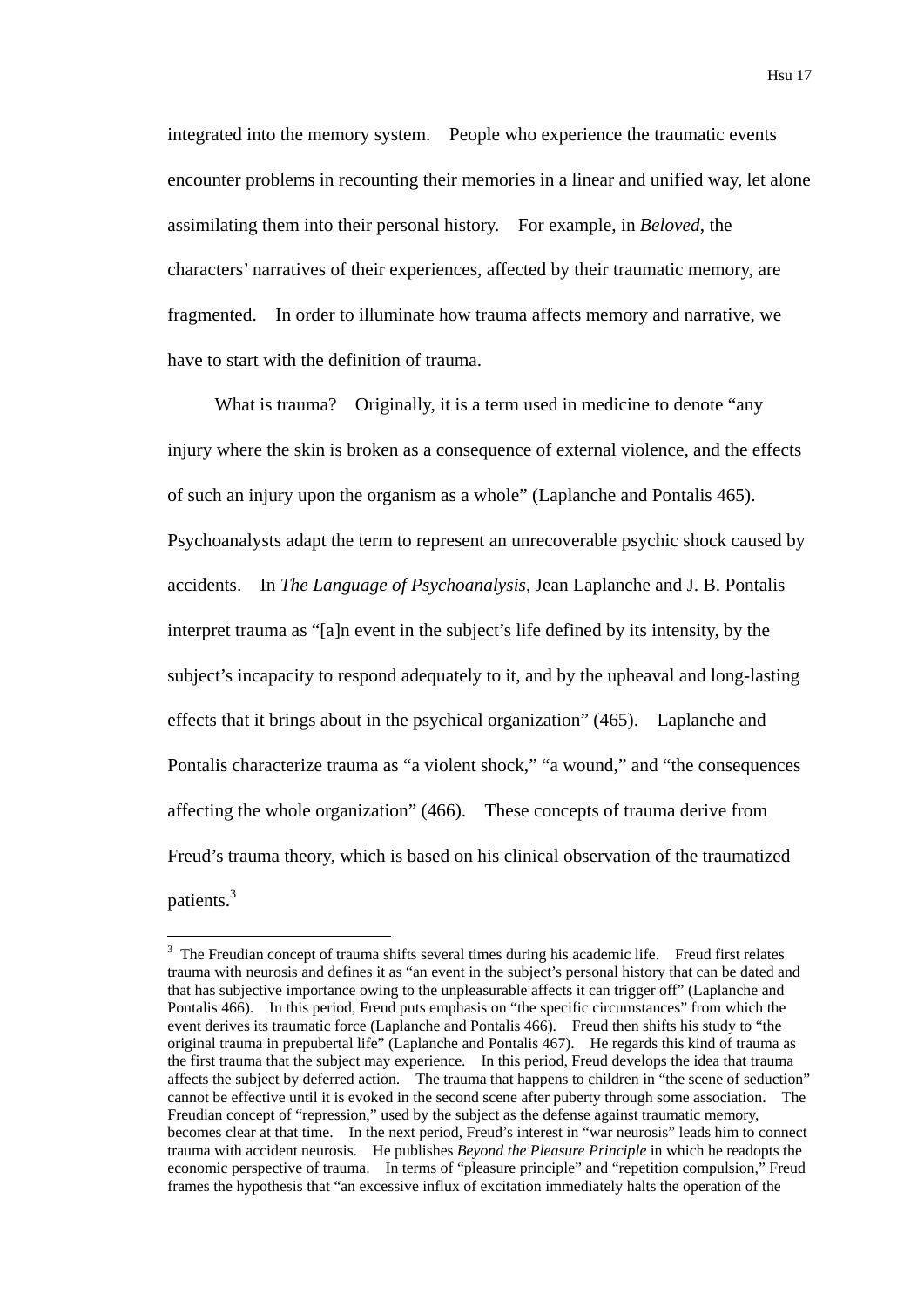integrated into the memory system. People who experience the traumatic events encounter problems in recounting their memories in a linear and unified way, let alone assimilating them into their personal history. For example, in *Beloved*, the characters' narratives of their experiences, affected by their traumatic memory, are fragmented. In order to illuminate how trauma affects memory and narrative, we have to start with the definition of trauma.

What is trauma? Originally, it is a term used in medicine to denote "any" injury where the skin is broken as a consequence of external violence, and the effects of such an injury upon the organism as a whole" (Laplanche and Pontalis 465). Psychoanalysts adapt the term to represent an unrecoverable psychic shock caused by accidents. In *The Language of Psychoanalysis*, Jean Laplanche and J. B. Pontalis interpret trauma as "[a]n event in the subject's life defined by its intensity, by the subject's incapacity to respond adequately to it, and by the upheaval and long-lasting effects that it brings about in the psychical organization" (465). Laplanche and Pontalis characterize trauma as "a violent shock," "a wound," and "the consequences affecting the whole organization" (466). These concepts of trauma derive from Freud's trauma theory, which is based on his clinical observation of the traumatized patients.3

<u>.</u>

 $3$  The Freudian concept of trauma shifts several times during his academic life. Freud first relates trauma with neurosis and defines it as "an event in the subject's personal history that can be dated and that has subjective importance owing to the unpleasurable affects it can trigger off" (Laplanche and Pontalis 466). In this period, Freud puts emphasis on "the specific circumstances" from which the event derives its traumatic force (Laplanche and Pontalis 466). Freud then shifts his study to "the original trauma in prepubertal life" (Laplanche and Pontalis 467). He regards this kind of trauma as the first trauma that the subject may experience. In this period, Freud develops the idea that trauma affects the subject by deferred action. The trauma that happens to children in "the scene of seduction" cannot be effective until it is evoked in the second scene after puberty through some association. The Freudian concept of "repression," used by the subject as the defense against traumatic memory, becomes clear at that time. In the next period, Freud's interest in "war neurosis" leads him to connect trauma with accident neurosis. He publishes *Beyond the Pleasure Principle* in which he readopts the economic perspective of trauma. In terms of "pleasure principle" and "repetition compulsion," Freud frames the hypothesis that "an excessive influx of excitation immediately halts the operation of the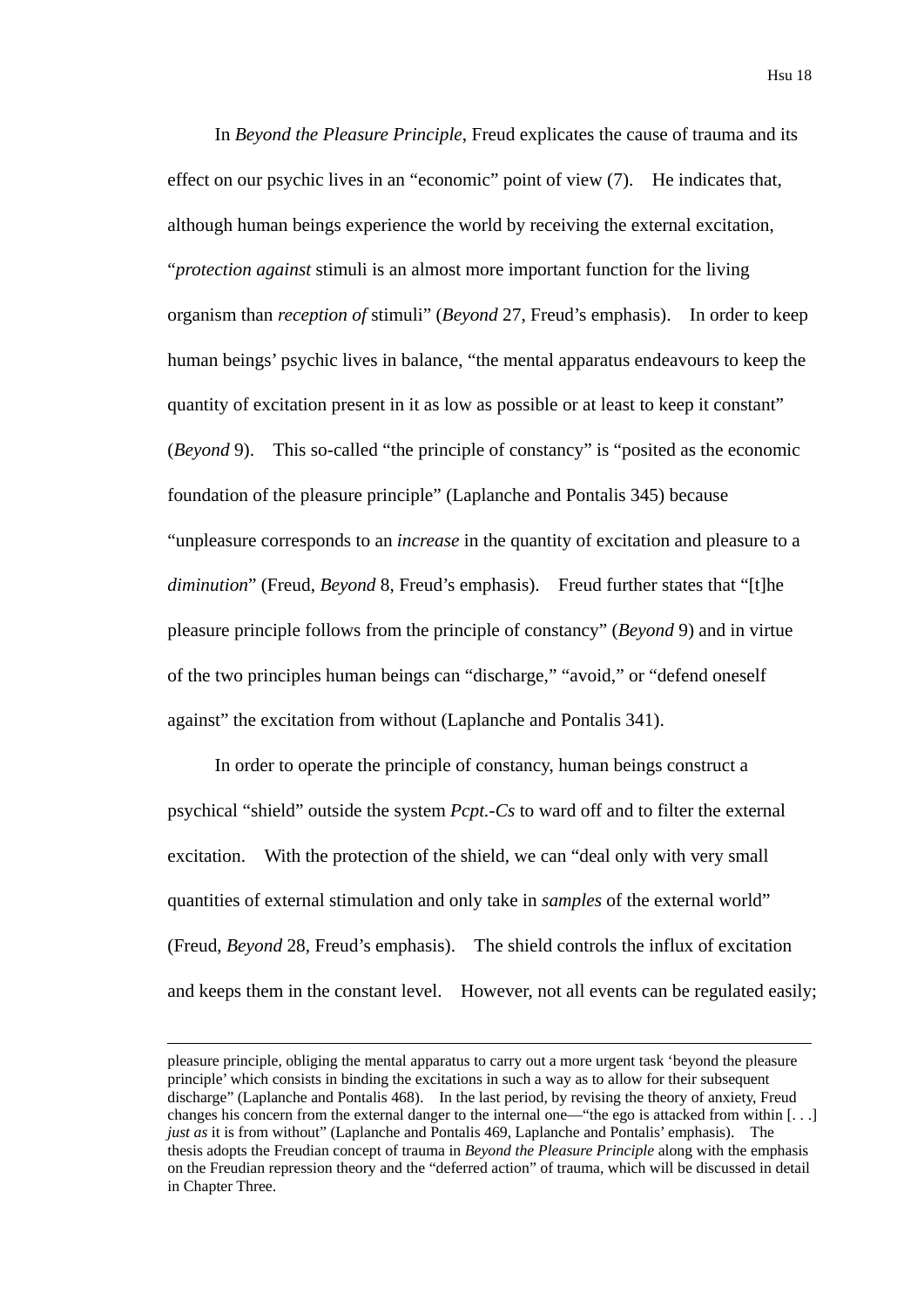In *Beyond the Pleasure Principle*, Freud explicates the cause of trauma and its effect on our psychic lives in an "economic" point of view (7). He indicates that, although human beings experience the world by receiving the external excitation, "*protection against* stimuli is an almost more important function for the living organism than *reception of* stimuli" (*Beyond* 27, Freud's emphasis). In order to keep human beings' psychic lives in balance, "the mental apparatus endeavours to keep the quantity of excitation present in it as low as possible or at least to keep it constant" (*Beyond* 9). This so-called "the principle of constancy" is "posited as the economic foundation of the pleasure principle" (Laplanche and Pontalis 345) because "unpleasure corresponds to an *increase* in the quantity of excitation and pleasure to a *diminution*" (Freud, *Beyond* 8, Freud's emphasis). Freud further states that "[t]he pleasure principle follows from the principle of constancy" (*Beyond* 9) and in virtue of the two principles human beings can "discharge," "avoid," or "defend oneself against" the excitation from without (Laplanche and Pontalis 341).

In order to operate the principle of constancy, human beings construct a psychical "shield" outside the system *Pcpt.-Cs* to ward off and to filter the external excitation. With the protection of the shield, we can "deal only with very small quantities of external stimulation and only take in *samples* of the external world" (Freud, *Beyond* 28, Freud's emphasis). The shield controls the influx of excitation and keeps them in the constant level. However, not all events can be regulated easily;

pleasure principle, obliging the mental apparatus to carry out a more urgent task 'beyond the pleasure principle' which consists in binding the excitations in such a way as to allow for their subsequent discharge" (Laplanche and Pontalis 468). In the last period, by revising the theory of anxiety, Freud changes his concern from the external danger to the internal one—"the ego is attacked from within [. . .] *just as* it is from without" (Laplanche and Pontalis 469, Laplanche and Pontalis' emphasis). The thesis adopts the Freudian concept of trauma in *Beyond the Pleasure Principle* along with the emphasis on the Freudian repression theory and the "deferred action" of trauma, which will be discussed in detail in Chapter Three.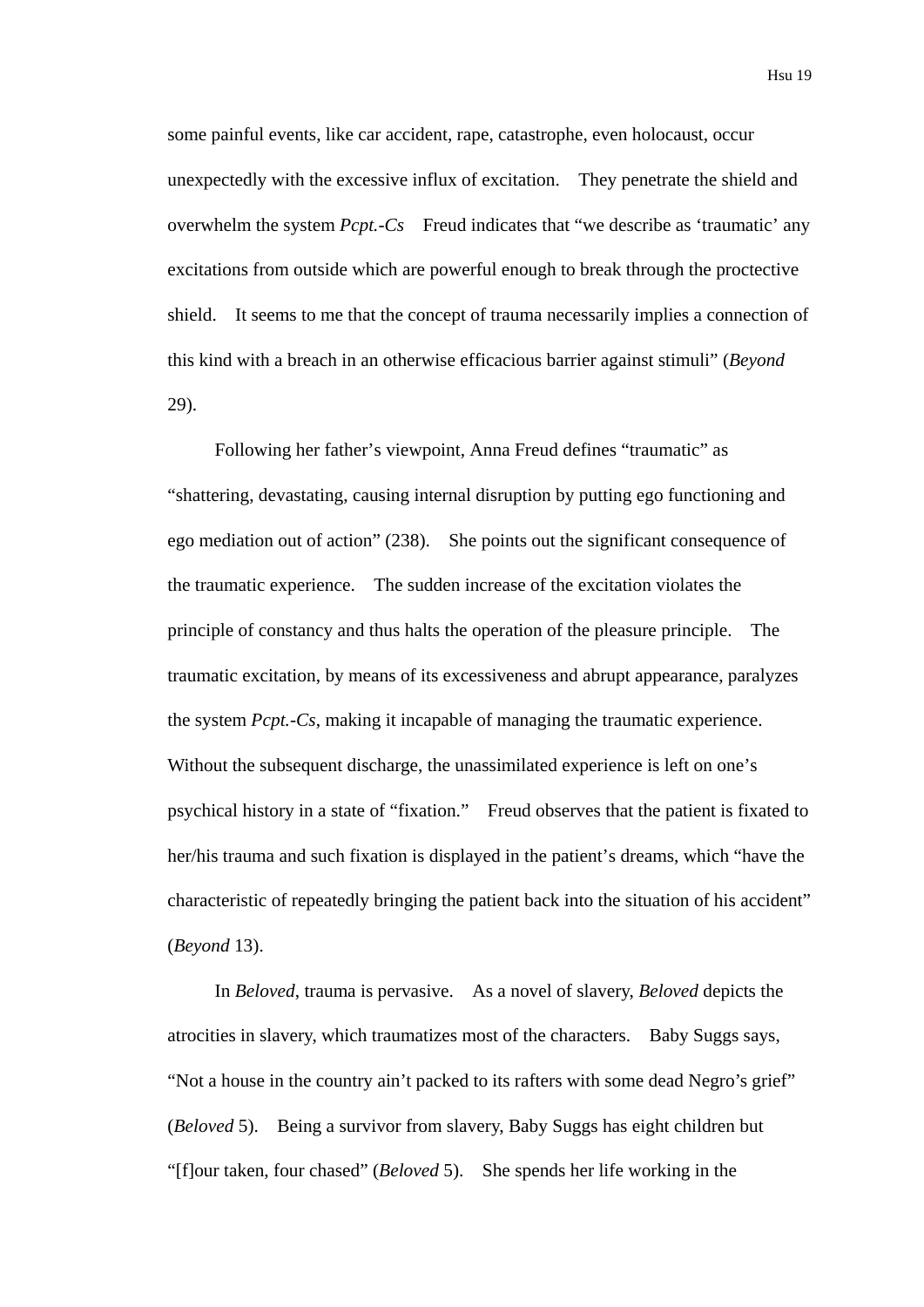some painful events, like car accident, rape, catastrophe, even holocaust, occur unexpectedly with the excessive influx of excitation. They penetrate the shield and overwhelm the system *Pcpt*.-Cs Freud indicates that "we describe as 'traumatic' any excitations from outside which are powerful enough to break through the proctective shield. It seems to me that the concept of trauma necessarily implies a connection of this kind with a breach in an otherwise efficacious barrier against stimuli" (*Beyond* 29).

Following her father's viewpoint, Anna Freud defines "traumatic" as "shattering, devastating, causing internal disruption by putting ego functioning and ego mediation out of action" (238). She points out the significant consequence of the traumatic experience. The sudden increase of the excitation violates the principle of constancy and thus halts the operation of the pleasure principle. The traumatic excitation, by means of its excessiveness and abrupt appearance, paralyzes the system *Pcpt.-Cs*, making it incapable of managing the traumatic experience. Without the subsequent discharge, the unassimilated experience is left on one's psychical history in a state of "fixation." Freud observes that the patient is fixated to her/his trauma and such fixation is displayed in the patient's dreams, which "have the characteristic of repeatedly bringing the patient back into the situation of his accident" (*Beyond* 13).

In *Beloved*, trauma is pervasive. As a novel of slavery, *Beloved* depicts the atrocities in slavery, which traumatizes most of the characters. Baby Suggs says, "Not a house in the country ain't packed to its rafters with some dead Negro's grief" (*Beloved* 5). Being a survivor from slavery, Baby Suggs has eight children but "[f]our taken, four chased" (*Beloved* 5). She spends her life working in the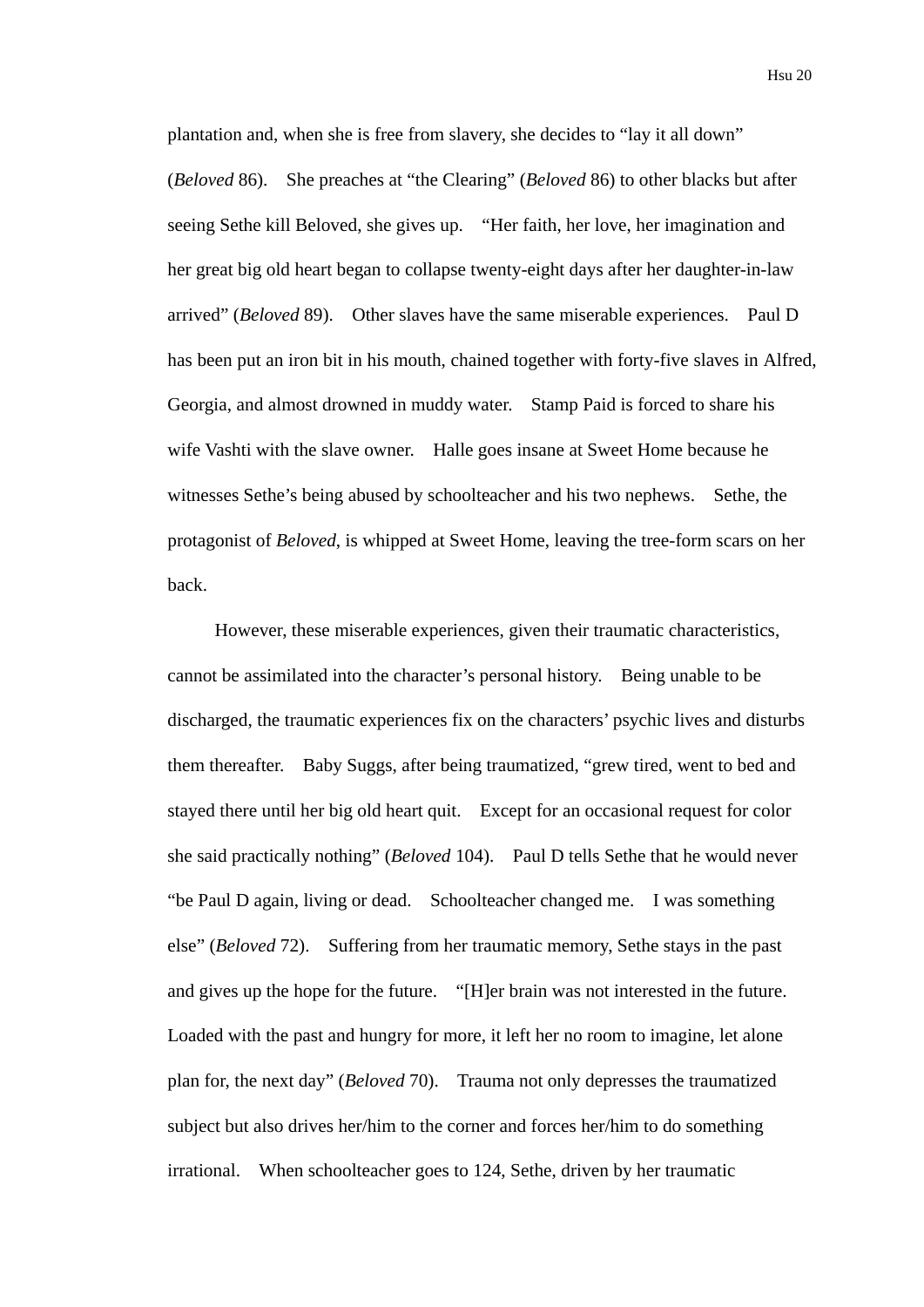plantation and, when she is free from slavery, she decides to "lay it all down" (*Beloved* 86). She preaches at "the Clearing" (*Beloved* 86) to other blacks but after seeing Sethe kill Beloved, she gives up. "Her faith, her love, her imagination and her great big old heart began to collapse twenty-eight days after her daughter-in-law arrived" (*Beloved* 89). Other slaves have the same miserable experiences. Paul D has been put an iron bit in his mouth, chained together with forty-five slaves in Alfred, Georgia, and almost drowned in muddy water. Stamp Paid is forced to share his wife Vashti with the slave owner. Halle goes insane at Sweet Home because he witnesses Sethe's being abused by schoolteacher and his two nephews. Sethe, the protagonist of *Beloved*, is whipped at Sweet Home, leaving the tree-form scars on her back.

However, these miserable experiences, given their traumatic characteristics, cannot be assimilated into the character's personal history. Being unable to be discharged, the traumatic experiences fix on the characters' psychic lives and disturbs them thereafter. Baby Suggs, after being traumatized, "grew tired, went to bed and stayed there until her big old heart quit. Except for an occasional request for color she said practically nothing" (*Beloved* 104). Paul D tells Sethe that he would never "be Paul D again, living or dead. Schoolteacher changed me. I was something else" (*Beloved* 72). Suffering from her traumatic memory, Sethe stays in the past and gives up the hope for the future. "[H]er brain was not interested in the future. Loaded with the past and hungry for more, it left her no room to imagine, let alone plan for, the next day" (*Beloved* 70). Trauma not only depresses the traumatized subject but also drives her/him to the corner and forces her/him to do something irrational. When schoolteacher goes to 124, Sethe, driven by her traumatic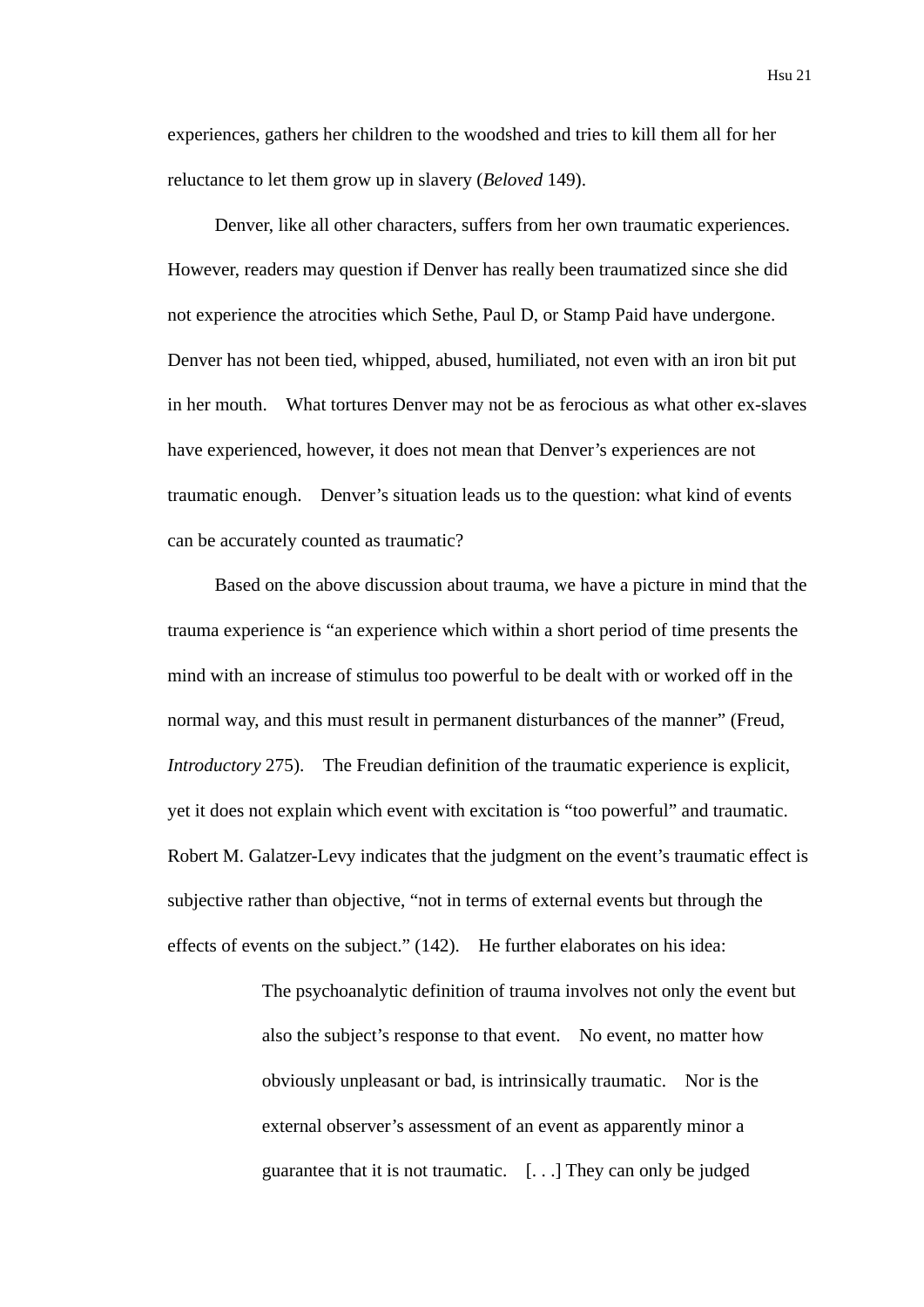experiences, gathers her children to the woodshed and tries to kill them all for her reluctance to let them grow up in slavery (*Beloved* 149).

Denver, like all other characters, suffers from her own traumatic experiences. However, readers may question if Denver has really been traumatized since she did not experience the atrocities which Sethe, Paul D, or Stamp Paid have undergone. Denver has not been tied, whipped, abused, humiliated, not even with an iron bit put in her mouth. What tortures Denver may not be as ferocious as what other ex-slaves have experienced, however, it does not mean that Denver's experiences are not traumatic enough. Denver's situation leads us to the question: what kind of events can be accurately counted as traumatic?

Based on the above discussion about trauma, we have a picture in mind that the trauma experience is "an experience which within a short period of time presents the mind with an increase of stimulus too powerful to be dealt with or worked off in the normal way, and this must result in permanent disturbances of the manner" (Freud, *Introductory* 275). The Freudian definition of the traumatic experience is explicit, yet it does not explain which event with excitation is "too powerful" and traumatic. Robert M. Galatzer-Levy indicates that the judgment on the event's traumatic effect is subjective rather than objective, "not in terms of external events but through the effects of events on the subject." (142). He further elaborates on his idea:

> The psychoanalytic definition of trauma involves not only the event but also the subject's response to that event. No event, no matter how obviously unpleasant or bad, is intrinsically traumatic. Nor is the external observer's assessment of an event as apparently minor a guarantee that it is not traumatic. [. . .] They can only be judged

Hsu 21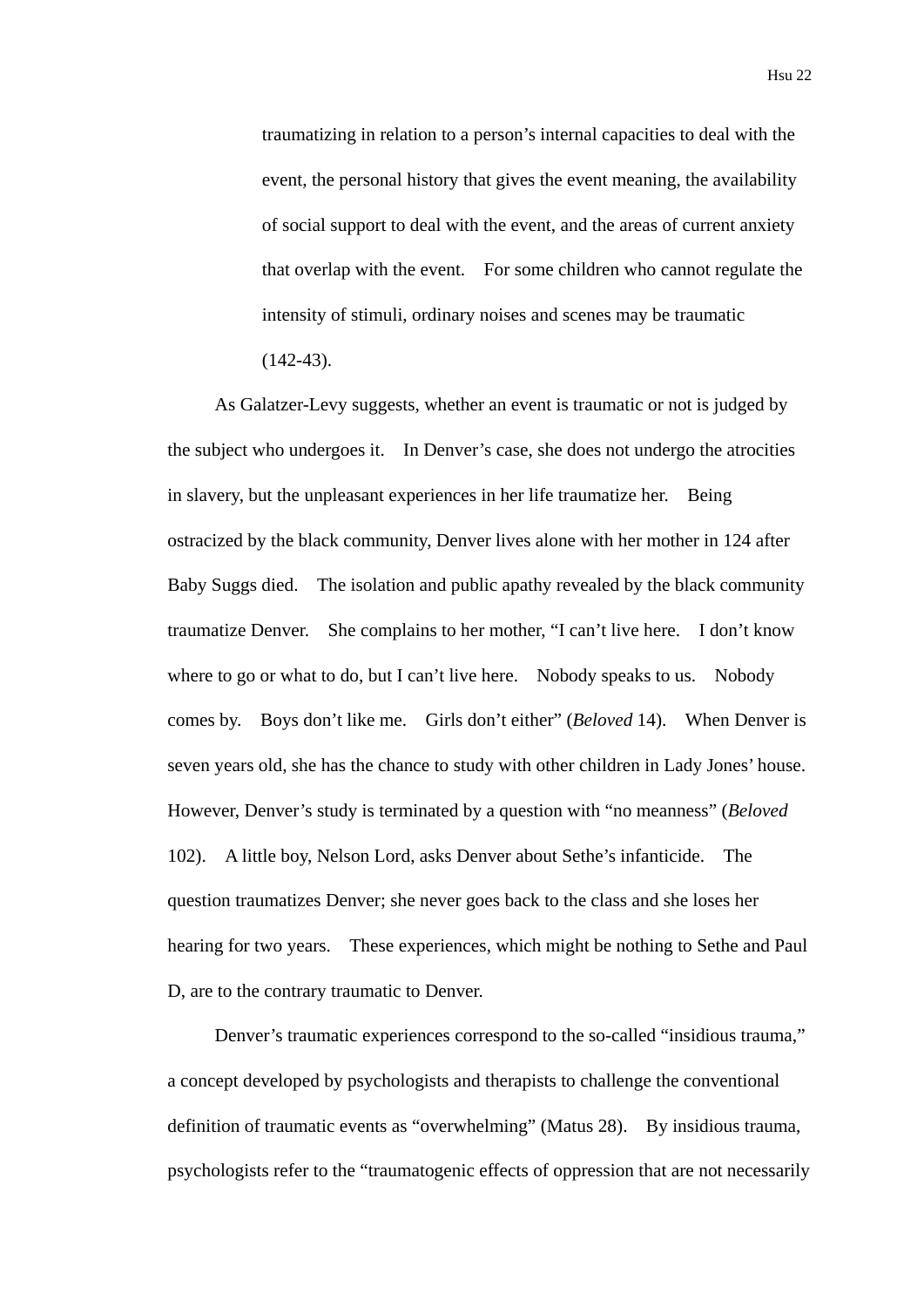traumatizing in relation to a person's internal capacities to deal with the event, the personal history that gives the event meaning, the availability of social support to deal with the event, and the areas of current anxiety that overlap with the event. For some children who cannot regulate the intensity of stimuli, ordinary noises and scenes may be traumatic  $(142-43)$ .

As Galatzer-Levy suggests, whether an event is traumatic or not is judged by the subject who undergoes it. In Denver's case, she does not undergo the atrocities in slavery, but the unpleasant experiences in her life traumatize her. Being ostracized by the black community, Denver lives alone with her mother in 124 after Baby Suggs died. The isolation and public apathy revealed by the black community traumatize Denver. She complains to her mother, "I can't live here. I don't know where to go or what to do, but I can't live here. Nobody speaks to us. Nobody comes by. Boys don't like me. Girls don't either" (*Beloved* 14). When Denver is seven years old, she has the chance to study with other children in Lady Jones' house. However, Denver's study is terminated by a question with "no meanness" (*Beloved* 102). A little boy, Nelson Lord, asks Denver about Sethe's infanticide. The question traumatizes Denver; she never goes back to the class and she loses her hearing for two years. These experiences, which might be nothing to Sethe and Paul D, are to the contrary traumatic to Denver.

Denver's traumatic experiences correspond to the so-called "insidious trauma," a concept developed by psychologists and therapists to challenge the conventional definition of traumatic events as "overwhelming" (Matus 28). By insidious trauma, psychologists refer to the "traumatogenic effects of oppression that are not necessarily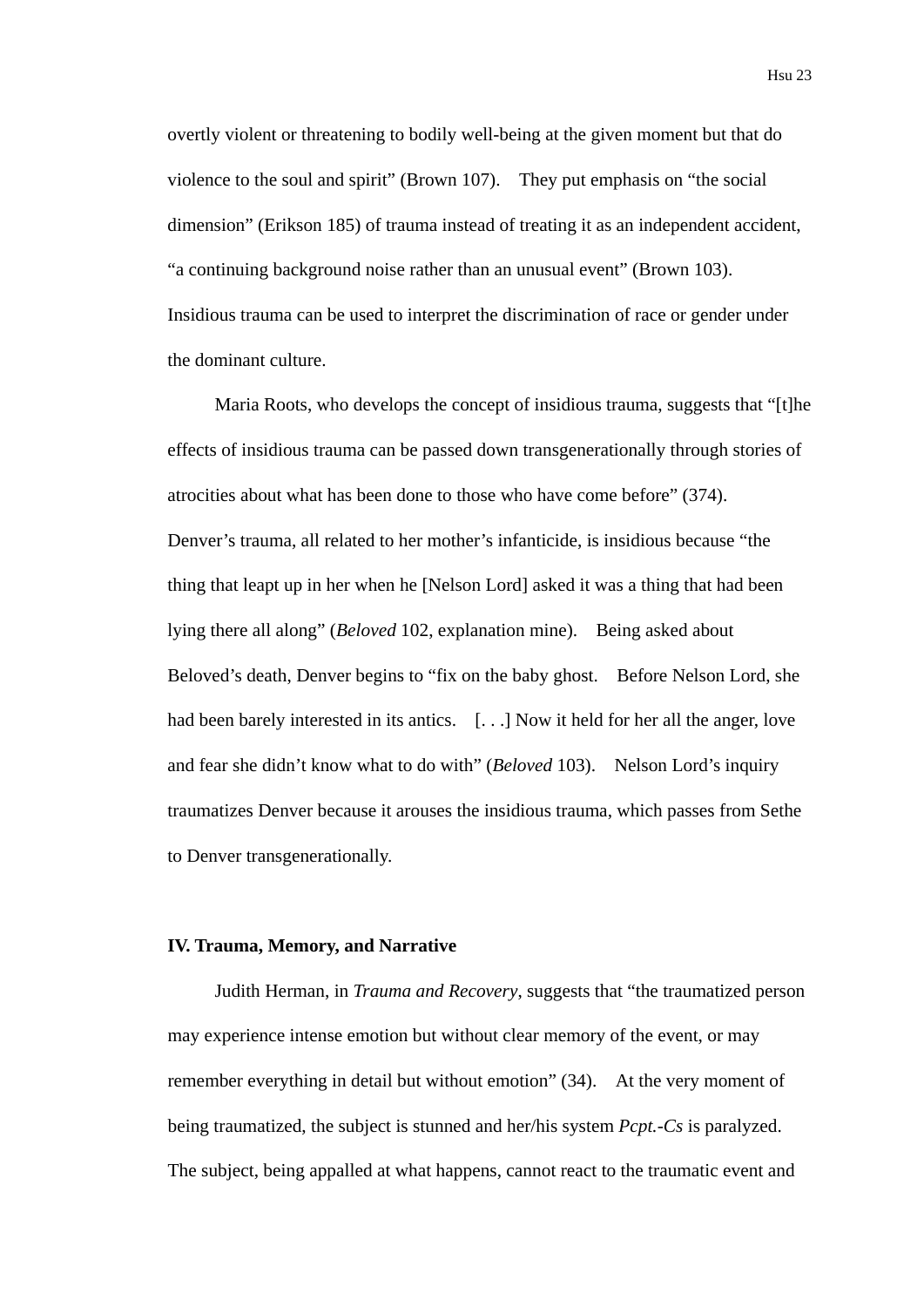overtly violent or threatening to bodily well-being at the given moment but that do violence to the soul and spirit" (Brown 107). They put emphasis on "the social dimension" (Erikson 185) of trauma instead of treating it as an independent accident, "a continuing background noise rather than an unusual event" (Brown 103). Insidious trauma can be used to interpret the discrimination of race or gender under the dominant culture.

Maria Roots, who develops the concept of insidious trauma, suggests that "[t]he effects of insidious trauma can be passed down transgenerationally through stories of atrocities about what has been done to those who have come before" (374). Denver's trauma, all related to her mother's infanticide, is insidious because "the thing that leapt up in her when he [Nelson Lord] asked it was a thing that had been lying there all along" (*Beloved* 102, explanation mine). Being asked about Beloved's death, Denver begins to "fix on the baby ghost. Before Nelson Lord, she had been barely interested in its antics. [...] Now it held for her all the anger, love and fear she didn't know what to do with" (*Beloved* 103). Nelson Lord's inquiry traumatizes Denver because it arouses the insidious trauma, which passes from Sethe to Denver transgenerationally.

## **IV. Trauma, Memory, and Narrative**

Judith Herman, in *Trauma and Recovery*, suggests that "the traumatized person may experience intense emotion but without clear memory of the event, or may remember everything in detail but without emotion" (34). At the very moment of being traumatized, the subject is stunned and her/his system *Pcpt.-Cs* is paralyzed. The subject, being appalled at what happens, cannot react to the traumatic event and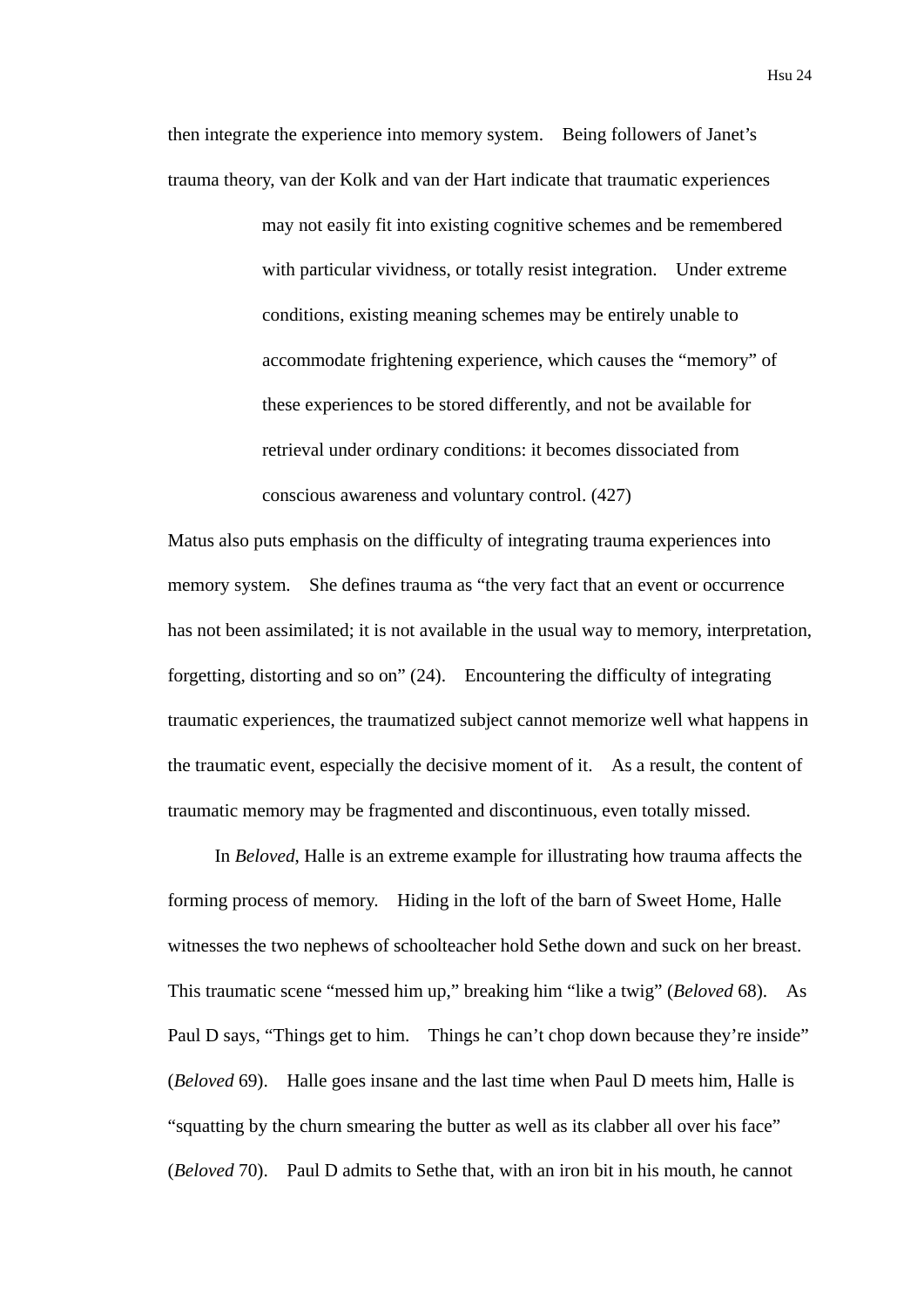then integrate the experience into memory system. Being followers of Janet's trauma theory, van der Kolk and van der Hart indicate that traumatic experiences

> may not easily fit into existing cognitive schemes and be remembered with particular vividness, or totally resist integration. Under extreme conditions, existing meaning schemes may be entirely unable to accommodate frightening experience, which causes the "memory" of these experiences to be stored differently, and not be available for retrieval under ordinary conditions: it becomes dissociated from conscious awareness and voluntary control. (427)

Matus also puts emphasis on the difficulty of integrating trauma experiences into memory system. She defines trauma as "the very fact that an event or occurrence has not been assimilated; it is not available in the usual way to memory, interpretation, forgetting, distorting and so on" (24). Encountering the difficulty of integrating traumatic experiences, the traumatized subject cannot memorize well what happens in the traumatic event, especially the decisive moment of it. As a result, the content of traumatic memory may be fragmented and discontinuous, even totally missed.

In *Beloved*, Halle is an extreme example for illustrating how trauma affects the forming process of memory. Hiding in the loft of the barn of Sweet Home, Halle witnesses the two nephews of schoolteacher hold Sethe down and suck on her breast. This traumatic scene "messed him up," breaking him "like a twig" (*Beloved* 68). As Paul D says, "Things get to him. Things he can't chop down because they're inside" (*Beloved* 69). Halle goes insane and the last time when Paul D meets him, Halle is "squatting by the churn smearing the butter as well as its clabber all over his face" (*Beloved* 70). Paul D admits to Sethe that, with an iron bit in his mouth, he cannot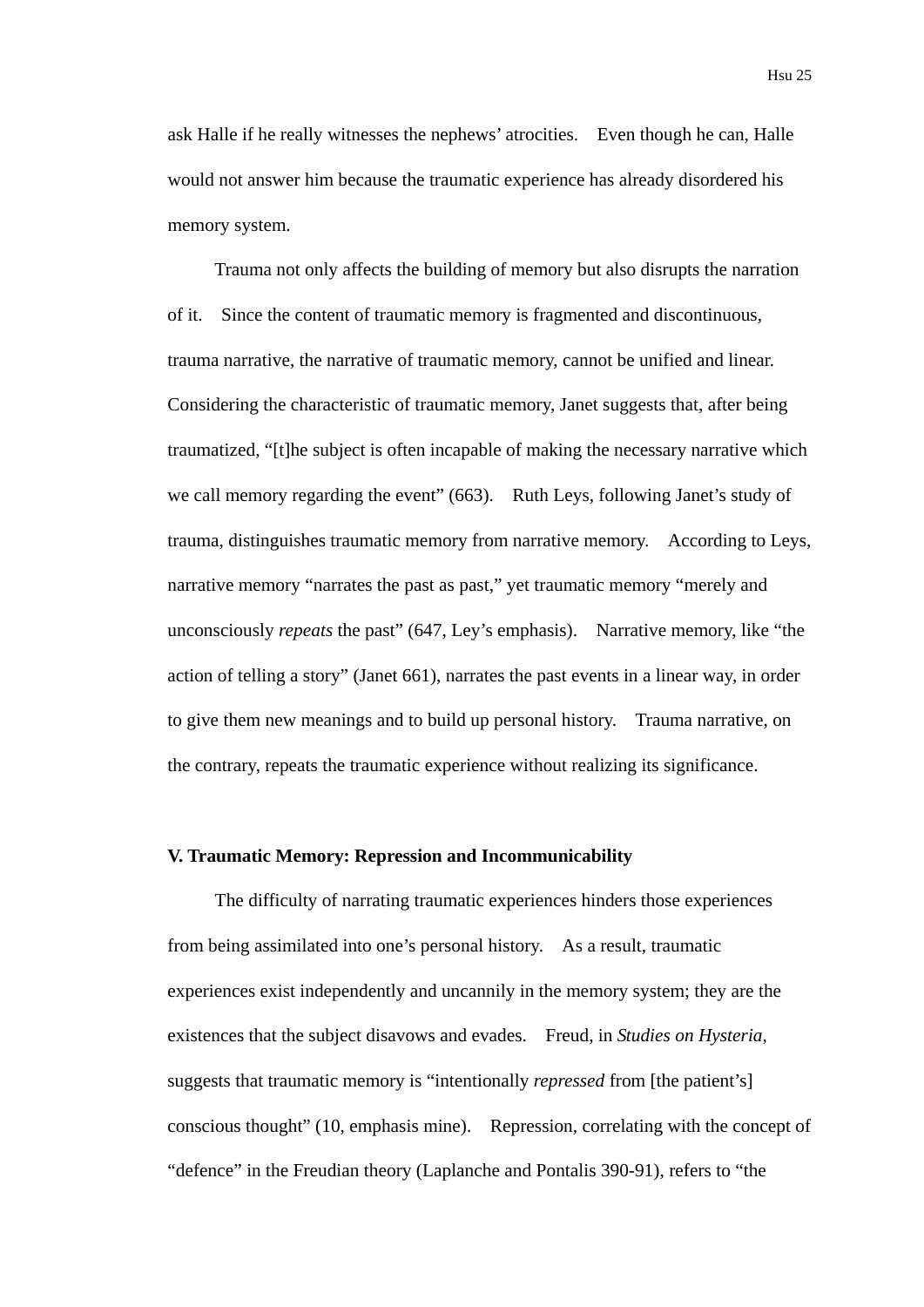ask Halle if he really witnesses the nephews' atrocities. Even though he can, Halle would not answer him because the traumatic experience has already disordered his memory system.

Trauma not only affects the building of memory but also disrupts the narration of it. Since the content of traumatic memory is fragmented and discontinuous, trauma narrative, the narrative of traumatic memory, cannot be unified and linear. Considering the characteristic of traumatic memory, Janet suggests that, after being traumatized, "[t]he subject is often incapable of making the necessary narrative which we call memory regarding the event" (663). Ruth Leys, following Janet's study of trauma, distinguishes traumatic memory from narrative memory. According to Leys, narrative memory "narrates the past as past," yet traumatic memory "merely and unconsciously *repeats* the past" (647, Ley's emphasis). Narrative memory, like "the action of telling a story" (Janet 661), narrates the past events in a linear way, in order to give them new meanings and to build up personal history. Trauma narrative, on the contrary, repeats the traumatic experience without realizing its significance.

# **V. Traumatic Memory: Repression and Incommunicability**

The difficulty of narrating traumatic experiences hinders those experiences from being assimilated into one's personal history. As a result, traumatic experiences exist independently and uncannily in the memory system; they are the existences that the subject disavows and evades. Freud, in *Studies on Hysteria*, suggests that traumatic memory is "intentionally *repressed* from [the patient's] conscious thought" (10, emphasis mine). Repression, correlating with the concept of "defence" in the Freudian theory (Laplanche and Pontalis 390-91), refers to "the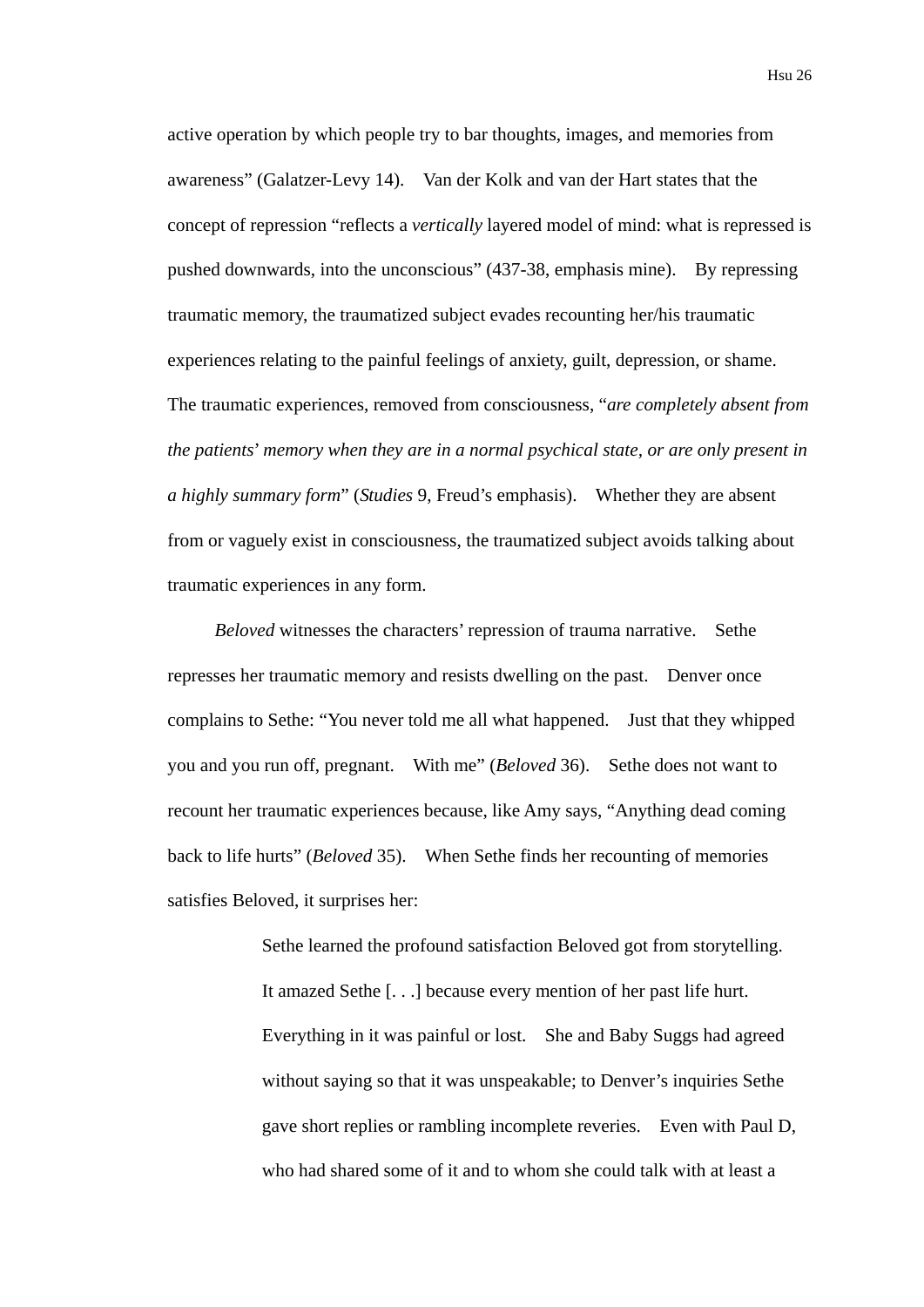active operation by which people try to bar thoughts, images, and memories from awareness" (Galatzer-Levy 14). Van der Kolk and van der Hart states that the concept of repression "reflects a *vertically* layered model of mind: what is repressed is pushed downwards, into the unconscious" (437-38, emphasis mine). By repressing traumatic memory, the traumatized subject evades recounting her/his traumatic experiences relating to the painful feelings of anxiety, guilt, depression, or shame. The traumatic experiences, removed from consciousness, "*are completely absent from the patients*' *memory when they are in a normal psychical state, or are only present in a highly summary form*" (*Studies* 9, Freud's emphasis). Whether they are absent from or vaguely exist in consciousness, the traumatized subject avoids talking about traumatic experiences in any form.

*Beloved* witnesses the characters' repression of trauma narrative. Sethe represses her traumatic memory and resists dwelling on the past. Denver once complains to Sethe: "You never told me all what happened. Just that they whipped you and you run off, pregnant. With me" (*Beloved* 36). Sethe does not want to recount her traumatic experiences because, like Amy says, "Anything dead coming back to life hurts" (*Beloved* 35). When Sethe finds her recounting of memories satisfies Beloved, it surprises her:

> Sethe learned the profound satisfaction Beloved got from storytelling. It amazed Sethe [. . .] because every mention of her past life hurt. Everything in it was painful or lost. She and Baby Suggs had agreed without saying so that it was unspeakable; to Denver's inquiries Sethe gave short replies or rambling incomplete reveries. Even with Paul D, who had shared some of it and to whom she could talk with at least a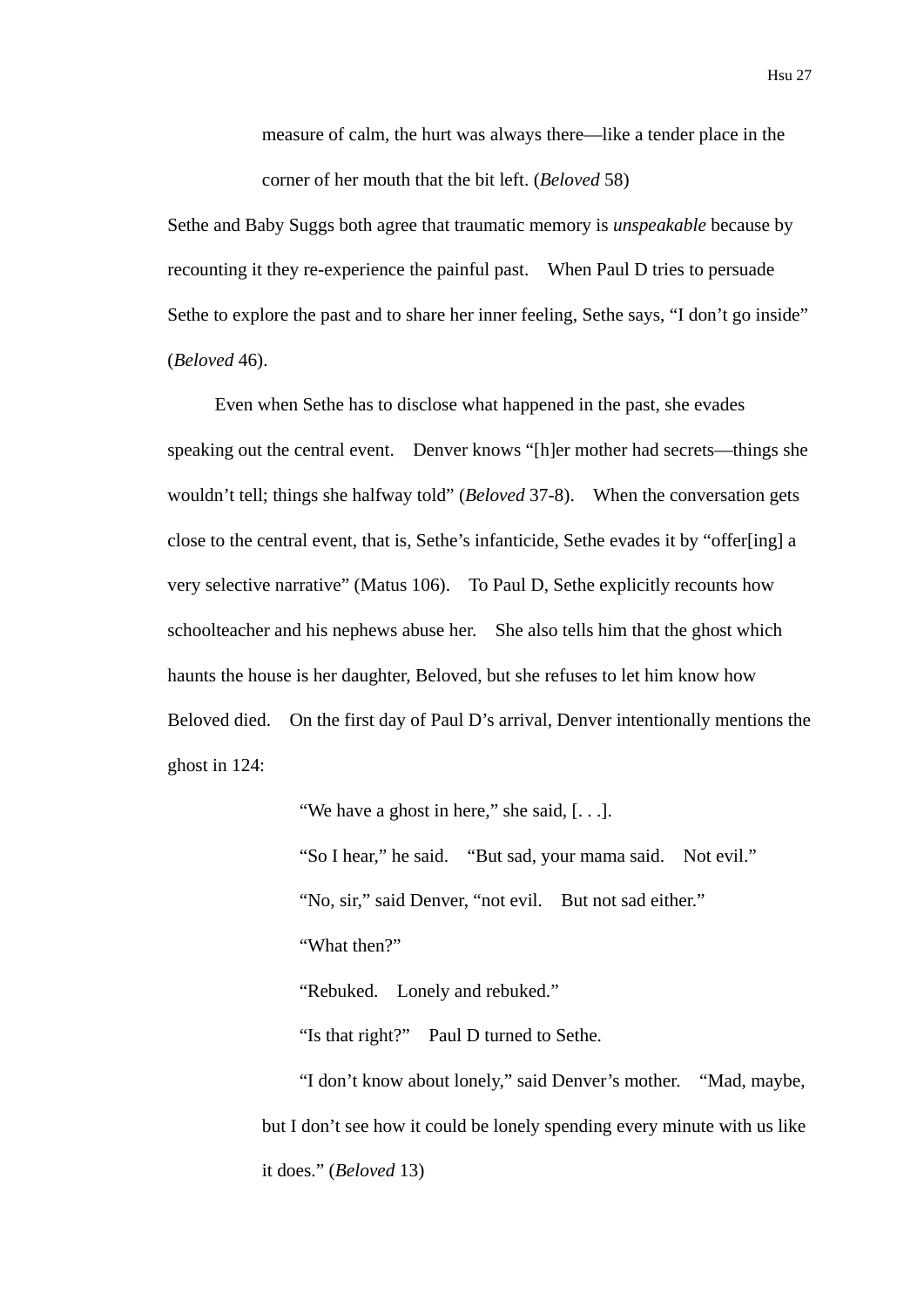measure of calm, the hurt was always there—like a tender place in the corner of her mouth that the bit left. (*Beloved* 58)

Sethe and Baby Suggs both agree that traumatic memory is *unspeakable* because by recounting it they re-experience the painful past. When Paul D tries to persuade Sethe to explore the past and to share her inner feeling, Sethe says, "I don't go inside" (*Beloved* 46).

Even when Sethe has to disclose what happened in the past, she evades speaking out the central event. Denver knows "[h]er mother had secrets—things she wouldn't tell; things she halfway told" (*Beloved* 37-8). When the conversation gets close to the central event, that is, Sethe's infanticide, Sethe evades it by "offer[ing] a very selective narrative" (Matus 106). To Paul D, Sethe explicitly recounts how schoolteacher and his nephews abuse her. She also tells him that the ghost which haunts the house is her daughter, Beloved, but she refuses to let him know how Beloved died. On the first day of Paul D's arrival, Denver intentionally mentions the ghost in 124:

"We have a ghost in here," she said, [...].

"So I hear," he said. "But sad, your mama said. Not evil." "No, sir," said Denver, "not evil. But not sad either." "What then?"

"Rebuked. Lonely and rebuked."

"Is that right?" Paul D turned to Sethe.

"I don't know about lonely," said Denver's mother. "Mad, maybe, but I don't see how it could be lonely spending every minute with us like it does." (*Beloved* 13)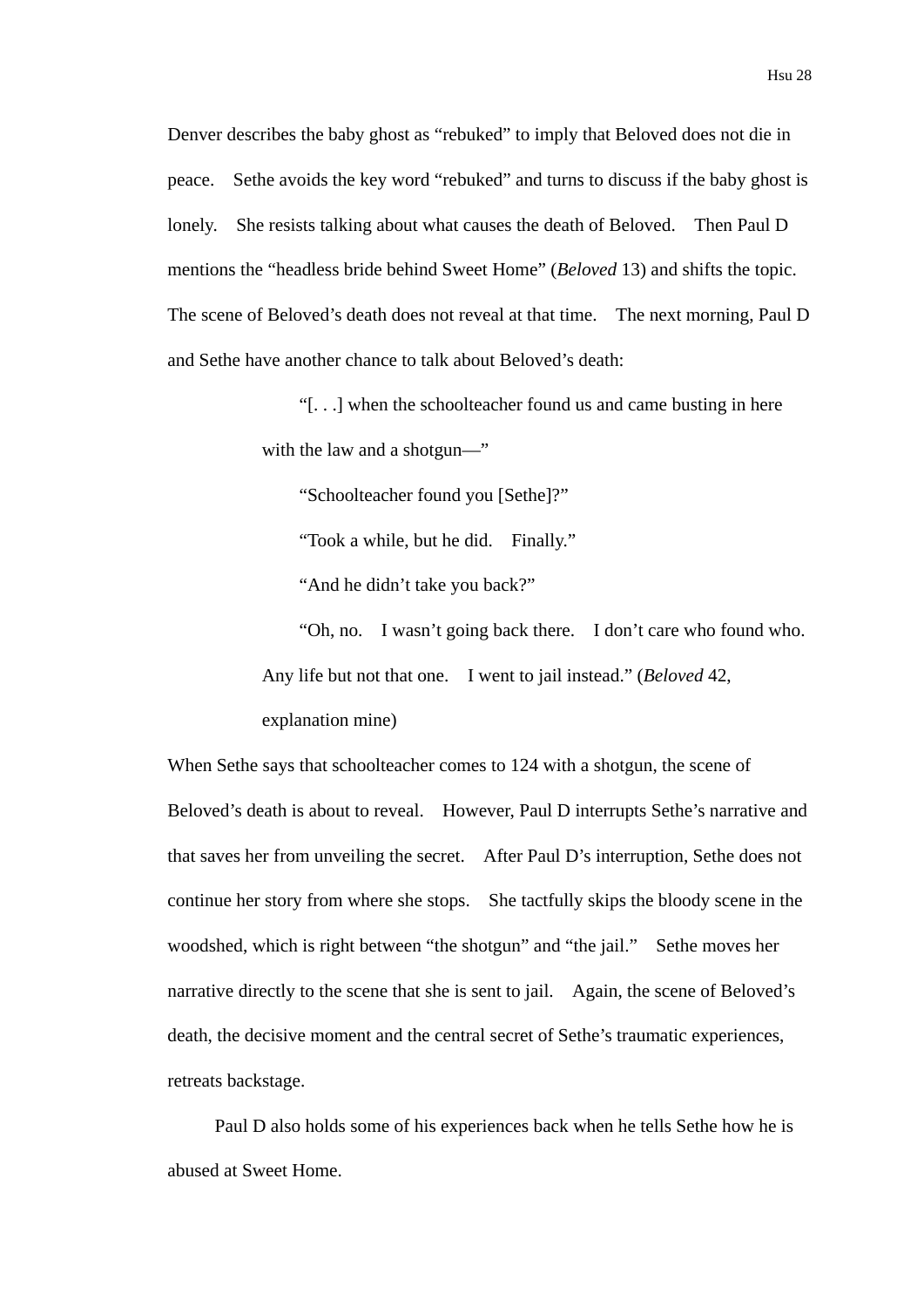Denver describes the baby ghost as "rebuked" to imply that Beloved does not die in peace. Sethe avoids the key word "rebuked" and turns to discuss if the baby ghost is lonely. She resists talking about what causes the death of Beloved. Then Paul D mentions the "headless bride behind Sweet Home" (*Beloved* 13) and shifts the topic. The scene of Beloved's death does not reveal at that time. The next morning, Paul D and Sethe have another chance to talk about Beloved's death:

> "[. . .] when the schoolteacher found us and came busting in here with the law and a shotgun—"

"Schoolteacher found you [Sethe]?"

"Took a while, but he did. Finally."

"And he didn't take you back?"

"Oh, no. I wasn't going back there. I don't care who found who. Any life but not that one. I went to jail instead." (*Beloved* 42, explanation mine)

When Sethe says that schoolteacher comes to 124 with a shotgun, the scene of Beloved's death is about to reveal. However, Paul D interrupts Sethe's narrative and that saves her from unveiling the secret. After Paul D's interruption, Sethe does not continue her story from where she stops. She tactfully skips the bloody scene in the woodshed, which is right between "the shotgun" and "the jail." Sethe moves her narrative directly to the scene that she is sent to jail. Again, the scene of Beloved's death, the decisive moment and the central secret of Sethe's traumatic experiences, retreats backstage.

Paul D also holds some of his experiences back when he tells Sethe how he is abused at Sweet Home.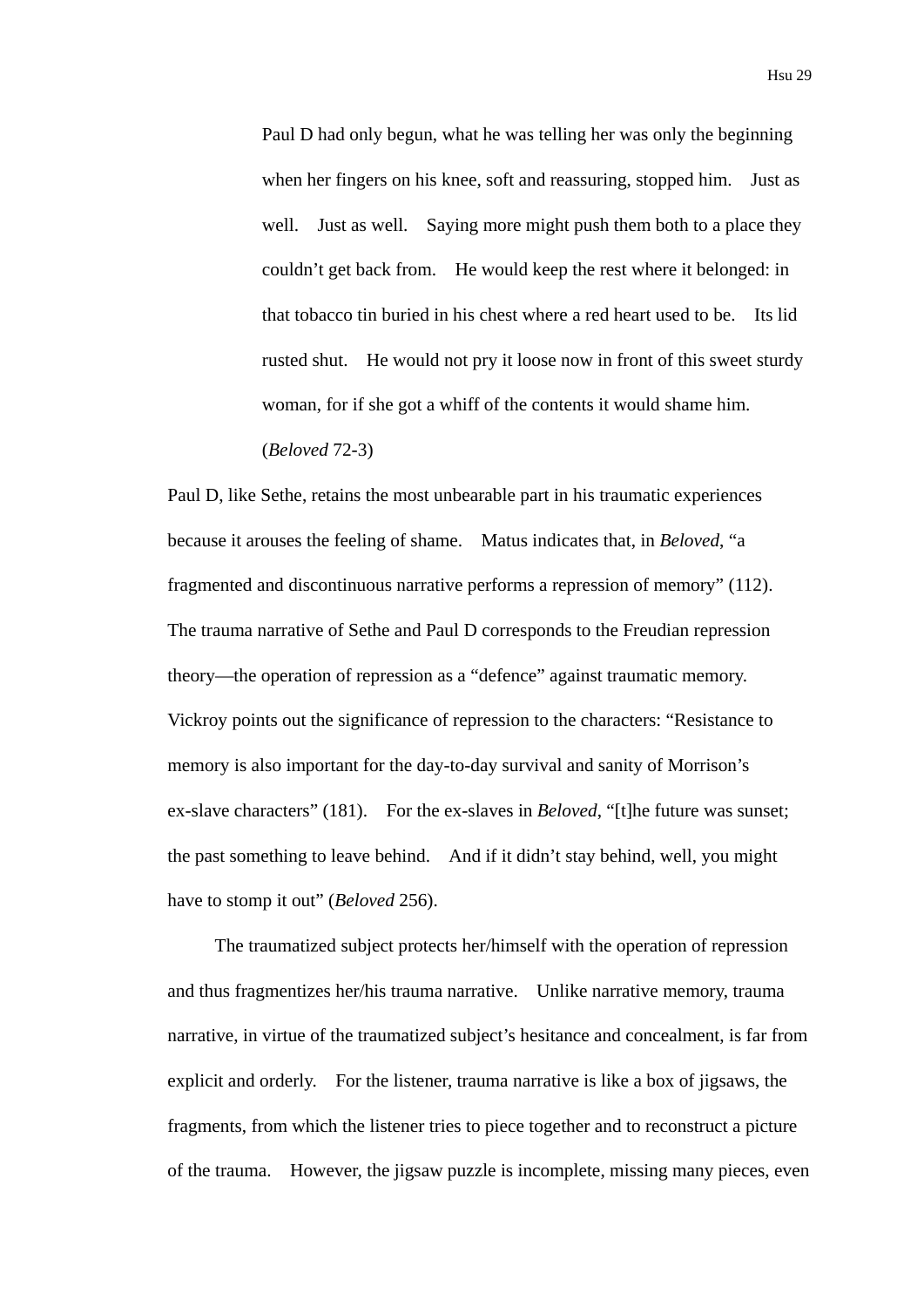Paul D had only begun, what he was telling her was only the beginning when her fingers on his knee, soft and reassuring, stopped him. Just as well. Just as well. Saying more might push them both to a place they couldn't get back from. He would keep the rest where it belonged: in that tobacco tin buried in his chest where a red heart used to be. Its lid rusted shut. He would not pry it loose now in front of this sweet sturdy woman, for if she got a whiff of the contents it would shame him. (*Beloved* 72-3)

Paul D, like Sethe, retains the most unbearable part in his traumatic experiences because it arouses the feeling of shame. Matus indicates that, in *Beloved*, "a fragmented and discontinuous narrative performs a repression of memory" (112). The trauma narrative of Sethe and Paul D corresponds to the Freudian repression theory—the operation of repression as a "defence" against traumatic memory. Vickroy points out the significance of repression to the characters: "Resistance to memory is also important for the day-to-day survival and sanity of Morrison's ex-slave characters" (181). For the ex-slaves in *Beloved*, "[t]he future was sunset; the past something to leave behind. And if it didn't stay behind, well, you might have to stomp it out" (*Beloved* 256).

The traumatized subject protects her/himself with the operation of repression and thus fragmentizes her/his trauma narrative. Unlike narrative memory, trauma narrative, in virtue of the traumatized subject's hesitance and concealment, is far from explicit and orderly. For the listener, trauma narrative is like a box of jigsaws, the fragments, from which the listener tries to piece together and to reconstruct a picture of the trauma. However, the jigsaw puzzle is incomplete, missing many pieces, even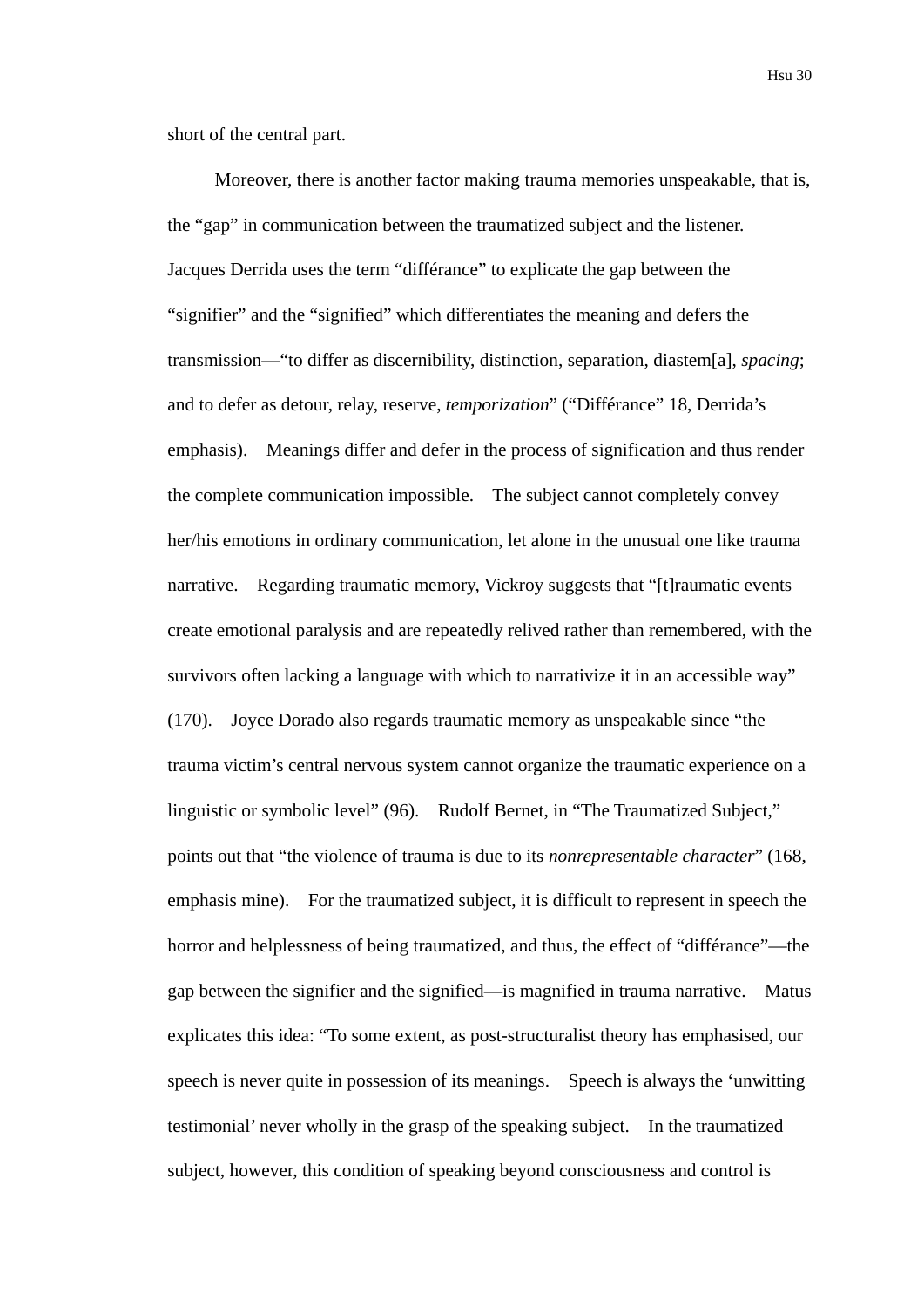short of the central part.

Moreover, there is another factor making trauma memories unspeakable, that is, the "gap" in communication between the traumatized subject and the listener. Jacques Derrida uses the term "différance" to explicate the gap between the "signifier" and the "signified" which differentiates the meaning and defers the transmission—"to differ as discernibility, distinction, separation, diastem[a], *spacing*; and to defer as detour, relay, reserve, *temporization*" ("Différance" 18, Derrida's emphasis). Meanings differ and defer in the process of signification and thus render the complete communication impossible. The subject cannot completely convey her/his emotions in ordinary communication, let alone in the unusual one like trauma narrative. Regarding traumatic memory, Vickroy suggests that "[t]raumatic events create emotional paralysis and are repeatedly relived rather than remembered, with the survivors often lacking a language with which to narrativize it in an accessible way" (170). Joyce Dorado also regards traumatic memory as unspeakable since "the trauma victim's central nervous system cannot organize the traumatic experience on a linguistic or symbolic level" (96). Rudolf Bernet, in "The Traumatized Subject," points out that "the violence of trauma is due to its *nonrepresentable character*" (168, emphasis mine). For the traumatized subject, it is difficult to represent in speech the horror and helplessness of being traumatized, and thus, the effect of "différance"—the gap between the signifier and the signified—is magnified in trauma narrative. Matus explicates this idea: "To some extent, as post-structuralist theory has emphasised, our speech is never quite in possession of its meanings. Speech is always the 'unwitting testimonial' never wholly in the grasp of the speaking subject. In the traumatized subject, however, this condition of speaking beyond consciousness and control is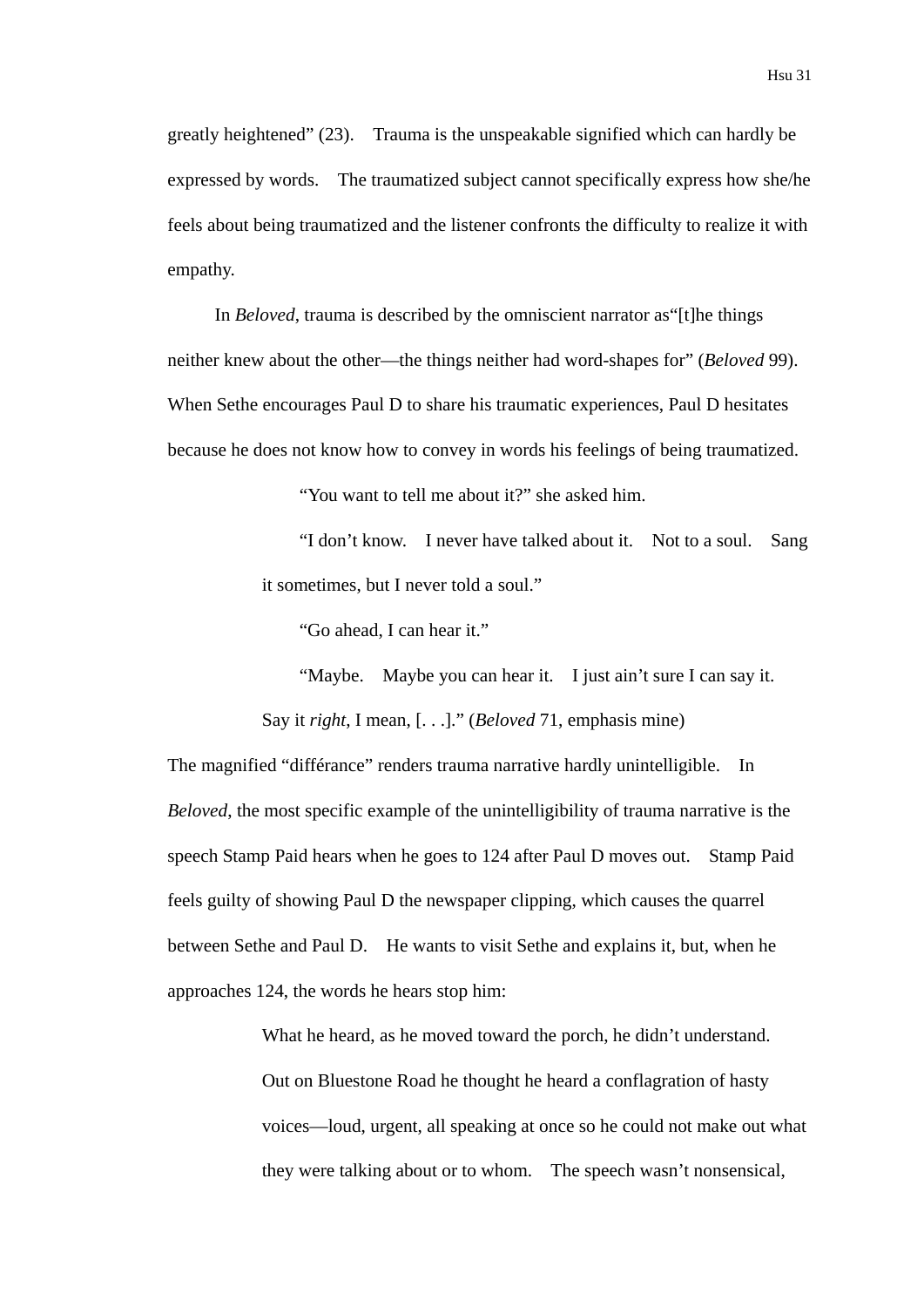greatly heightened" (23). Trauma is the unspeakable signified which can hardly be expressed by words. The traumatized subject cannot specifically express how she/he feels about being traumatized and the listener confronts the difficulty to realize it with empathy.

In *Beloved*, trauma is described by the omniscient narrator as"[t]he things neither knew about the other—the things neither had word-shapes for" (*Beloved* 99). When Sethe encourages Paul D to share his traumatic experiences, Paul D hesitates because he does not know how to convey in words his feelings of being traumatized.

"You want to tell me about it?" she asked him.

"I don't know. I never have talked about it. Not to a soul. Sang it sometimes, but I never told a soul."

"Go ahead, I can hear it."

"Maybe. Maybe you can hear it. I just ain't sure I can say it. Say it *right*, I mean, [. . .]." (*Beloved* 71, emphasis mine)

The magnified "différance" renders trauma narrative hardly unintelligible. In *Beloved*, the most specific example of the unintelligibility of trauma narrative is the speech Stamp Paid hears when he goes to 124 after Paul D moves out. Stamp Paid feels guilty of showing Paul D the newspaper clipping, which causes the quarrel between Sethe and Paul D. He wants to visit Sethe and explains it, but, when he approaches 124, the words he hears stop him:

> What he heard, as he moved toward the porch, he didn't understand. Out on Bluestone Road he thought he heard a conflagration of hasty voices—loud, urgent, all speaking at once so he could not make out what they were talking about or to whom. The speech wasn't nonsensical,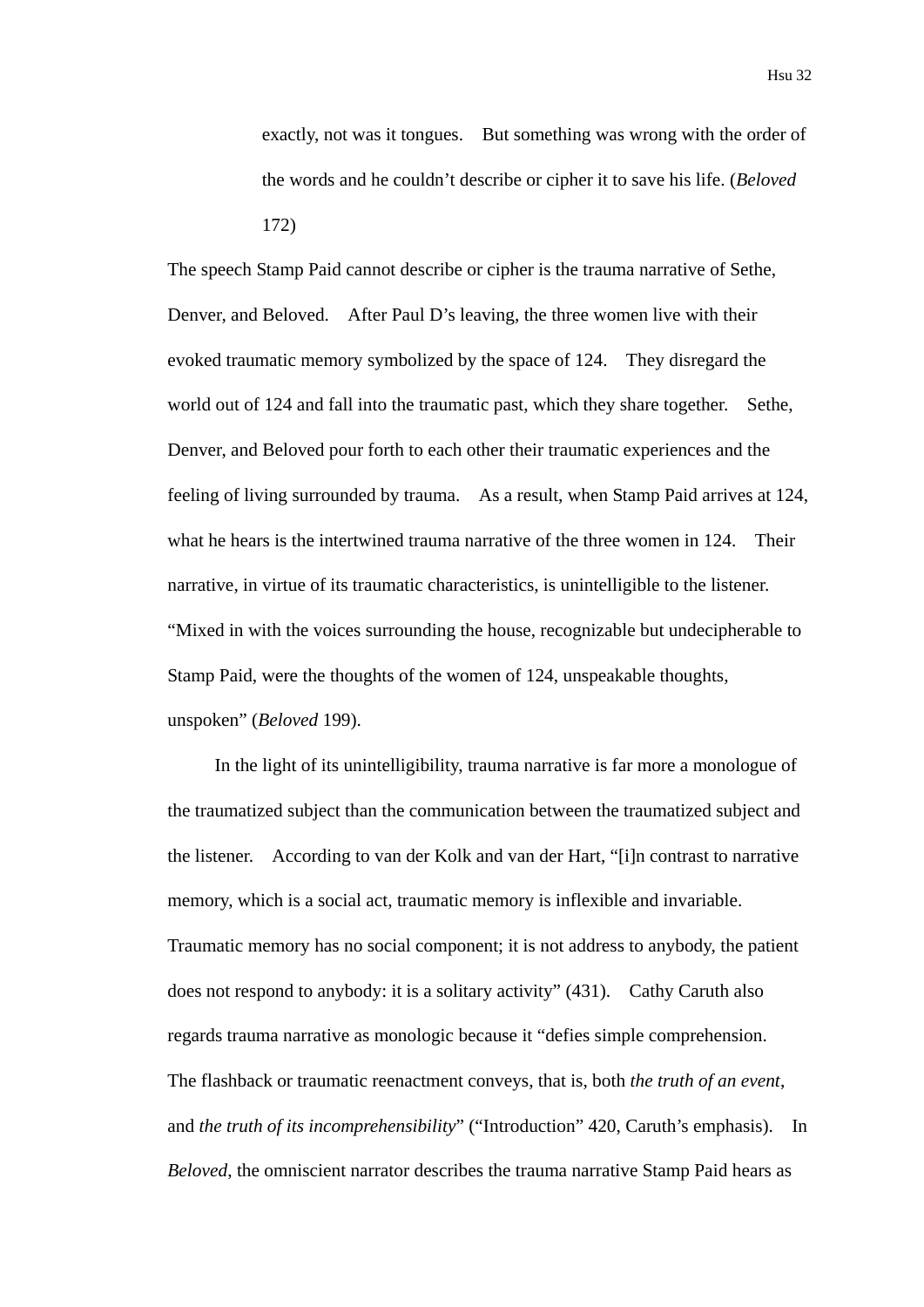exactly, not was it tongues. But something was wrong with the order of the words and he couldn't describe or cipher it to save his life. (*Beloved* 172)

The speech Stamp Paid cannot describe or cipher is the trauma narrative of Sethe, Denver, and Beloved. After Paul D's leaving, the three women live with their evoked traumatic memory symbolized by the space of 124. They disregard the world out of 124 and fall into the traumatic past, which they share together. Sethe, Denver, and Beloved pour forth to each other their traumatic experiences and the feeling of living surrounded by trauma. As a result, when Stamp Paid arrives at 124, what he hears is the intertwined trauma narrative of the three women in 124. Their narrative, in virtue of its traumatic characteristics, is unintelligible to the listener. "Mixed in with the voices surrounding the house, recognizable but undecipherable to Stamp Paid, were the thoughts of the women of 124, unspeakable thoughts, unspoken" (*Beloved* 199).

In the light of its unintelligibility, trauma narrative is far more a monologue of the traumatized subject than the communication between the traumatized subject and the listener. According to van der Kolk and van der Hart, "[i]n contrast to narrative memory, which is a social act, traumatic memory is inflexible and invariable. Traumatic memory has no social component; it is not address to anybody, the patient does not respond to anybody: it is a solitary activity" (431). Cathy Caruth also regards trauma narrative as monologic because it "defies simple comprehension. The flashback or traumatic reenactment conveys, that is, both *the truth of an event*, and *the truth of its incomprehensibility*" ("Introduction" 420, Caruth's emphasis). In *Beloved*, the omniscient narrator describes the trauma narrative Stamp Paid hears as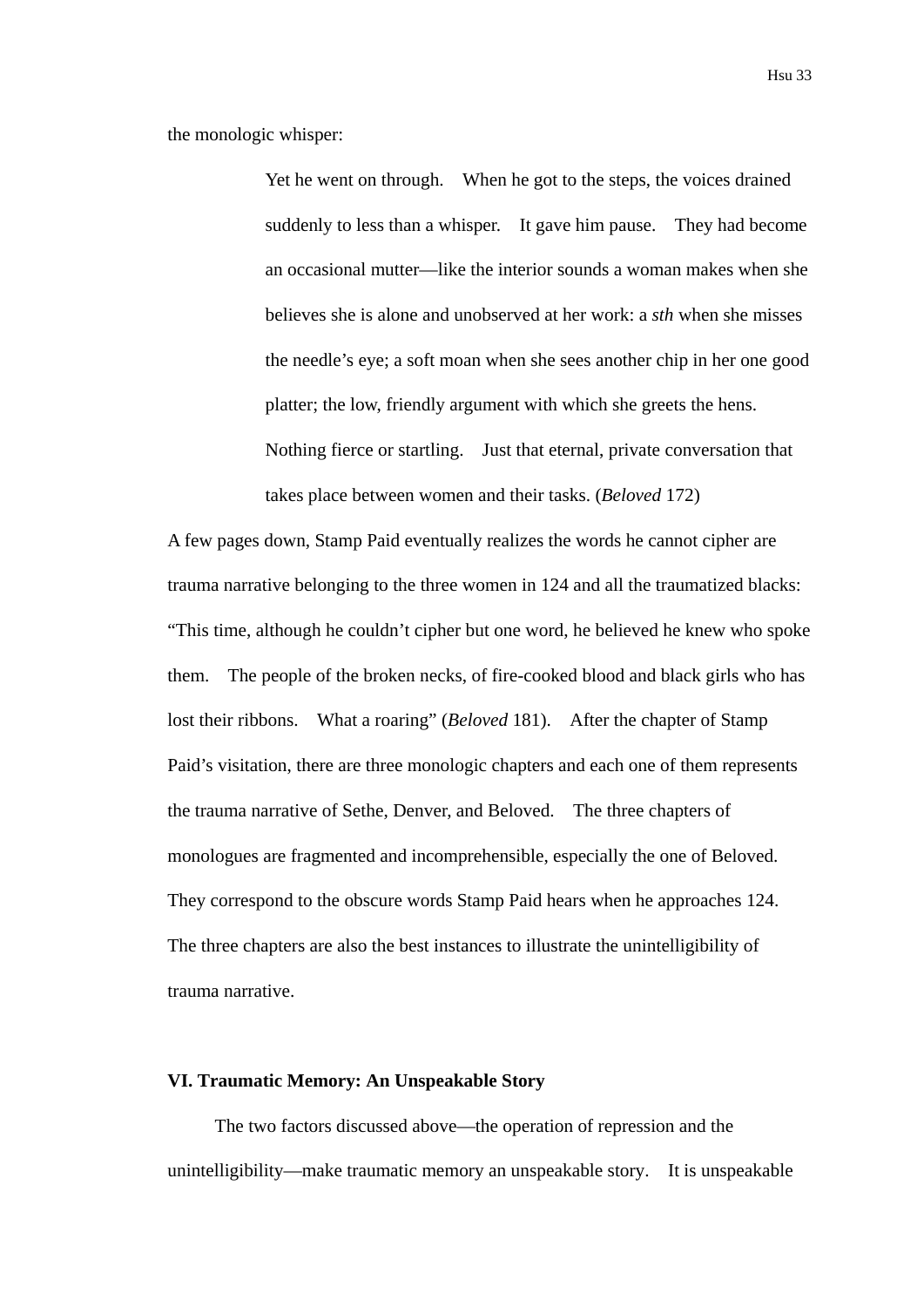the monologic whisper:

Yet he went on through. When he got to the steps, the voices drained suddenly to less than a whisper. It gave him pause. They had become an occasional mutter—like the interior sounds a woman makes when she believes she is alone and unobserved at her work: a *sth* when she misses the needle's eye; a soft moan when she sees another chip in her one good platter; the low, friendly argument with which she greets the hens. Nothing fierce or startling. Just that eternal, private conversation that takes place between women and their tasks. (*Beloved* 172)

A few pages down, Stamp Paid eventually realizes the words he cannot cipher are trauma narrative belonging to the three women in 124 and all the traumatized blacks: "This time, although he couldn't cipher but one word, he believed he knew who spoke them. The people of the broken necks, of fire-cooked blood and black girls who has lost their ribbons. What a roaring" (*Beloved* 181). After the chapter of Stamp Paid's visitation, there are three monologic chapters and each one of them represents the trauma narrative of Sethe, Denver, and Beloved. The three chapters of monologues are fragmented and incomprehensible, especially the one of Beloved. They correspond to the obscure words Stamp Paid hears when he approaches 124. The three chapters are also the best instances to illustrate the unintelligibility of trauma narrative.

#### **VI. Traumatic Memory: An Unspeakable Story**

The two factors discussed above—the operation of repression and the unintelligibility—make traumatic memory an unspeakable story. It is unspeakable